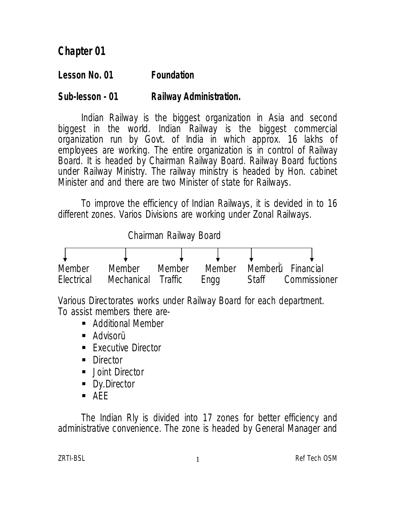# **Chapter 01**

#### **Lesson No. 01 Foundation**

#### **Sub-lesson - 01 Railway Administration.**

Indian Railway is the biggest organization in Asia and second biggest in the world. Indian Railway is the biggest commercial organization run by Govt. of India in which approx. 16 lakhs of employees are working. The entire organization is in control of Railway Board. It is headed by Chairman Railway Board. Railway Board fuctions under Railway Ministry. The railway ministry is headed by Hon. cabinet Minister and and there are two Minister of state for Railways.

To improve the efficiency of Indian Railways, it is devided in to 16 different zones. Varios Divisions are working under Zonal Railways.



Various Directorates works under Railway Board for each department. To assist members there are-

- **Additional Member**
- Advisorü
- **Executive Director**
- Director
- Joint Director
- Dy.Director
- $AFF$

The Indian Rly is divided into 17 zones for better efficiency and administrative convenience. The zone is headed by General Manager and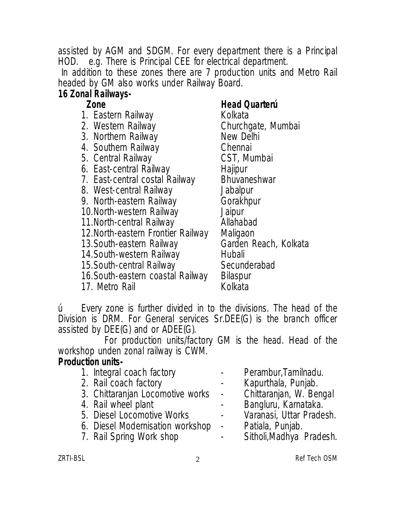assisted by AGM and SDGM. For every department there is a Principal HOD. e.g. There is Principal CEE for electrical department.

In addition to these zones there are 7 production units and Metro Rail headed by GM also works under Railway Board.

# **16 Zonal Railways-**

- 1. Eastern Railway Kolkata
- 
- 3. Northern Railway **New Del**<br>4. Southern Railway **New Chennai**
- 
- 5. Central Railway
- 6. East-central Railway Hajipur
- 7. East-central costal Railway Bhuvaneshwar<br>8. West-central Railway Jabalpur
- 8. West-central Railway Jabalpur<br>9. North-eastern Railway Gorakhpur
- 9. North-eastern Railway Gorakl<br>10. North-western Railway Jaipur
- 10.North-western Railway
- 11. North-central Railway **Allahabad**
- 
- 13. South-eastern Railway
- 14.South-western Railway Hubali
- 
- 15.South-central Railway Secunde<br>16.South-eastern coastal Railway Bilaspur 16.South-eastern coastal Railway Bilaspur
- 17. Metro Rail

#### **Zone Head Quarterú**

Churchgate, Mumbai<br>New Delhi 4. Southern Railway **Chennai**<br>
5. Central Railway **CST**, Mumbai 12.North-eastern Frontier Railway Maligaon<br>13.South-eastern Railway Marden Reach, Kolkata

ú Every zone is further divided in to the divisions. The head of the Division is DRM. For General services Sr.DEE(G) is the branch officer assisted by DEE(G) and or ADEE(G).

For production units/factory GM is the head. Head of the workshop unden zonal railway is CWM.

#### **Production units-**

- 
- 
- 2. Rail coach factory<br>3. Chittaranian Locomotive works Chittaranian, W. Bengal 3. Chittaranjan Locomotive works -<br>4. Rail wheel plant
- 
- 
- 5. Diesel Locomotive Works Varanasi, Uttar I<br>6. Diesel Modernisation workshop Patiala, Punjab. 6. Diesel Modernisation workshop - Patiala, Punjab.<br>7. Rail Spring Work shop - Sitholi, Madhya Pradesh.
- 7. Rail Spring Work shop
- 1. Integral coach factory Perambur, Tamilnadu.<br>2. Rail coach factory - Kapurthala, Punjab.
	-
	-
	- - Bangluru, Karnataka.<br>Varanasi, Uttar Pradesh.
		-
		-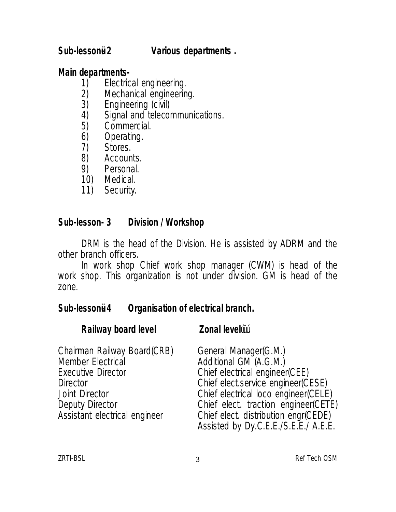#### **Sub-lessonü- 2 Various departments .**

#### **Main departments-**

- 1) Electrical engineering.<br>2) Mechanical engineerin
- 2) Mechanical engineering.<br>3) Engineering (civil)
- 
- 3) Engineering (civil)<br>4) Signal and telecol 4) Signal and telecommunications.<br>5) Commercial.
- 5) Commercial.<br>6) Operating.
- 6) Operating.<br>7) Stores.
- 7) Stores.<br>8) Accoun
- 8) Accounts.<br>9) Personal.
- Personal.
- 10) Medical.
- 11) Security.

#### **Sub-lesson- 3 Division / Workshop**

DRM is the head of the Division. He is assisted by ADRM and the other branch officers.

In work shop Chief work shop manager (CWM) is head of the work shop. This organization is not under division. GM is head of the zone.

#### **Sub-lessonü- 4 Organisation of electrical branch.**

#### **Railway board level Zonal levelu**ü

| Chairman Railway Board(CRB)   | General Manager(G.M.)                |
|-------------------------------|--------------------------------------|
| <b>Member Electrical</b>      | Additional GM (A.G.M.)               |
| <b>Executive Director</b>     | Chief electrical engineer(CEE)       |
| <b>Director</b>               | Chief elect.service engineer(CESE)   |
| <b>Joint Director</b>         | Chief electrical loco engineer(CELE) |
| Deputy Director               | Chief elect. traction engineer(CETE) |
| Assistant electrical engineer | Chief elect. distribution engr(CEDE) |
|                               | Assisted by Dy.C.E.E./S.E.E./ A.E.E. |

zRTI-BSL 3 and 3 and 3 and 3 and 3 and 3 and 3 and 3 and 3 and 3 and 3 and 3 and 3 and 3 and 3 and 3 and 3 and 3 and 3 and 3 and 3 and 3 and 3 and 3 and 3 and 3 and 3 and 3 and 3 and 3 and 3 and 3 and 3 and 3 and 3 and 3 a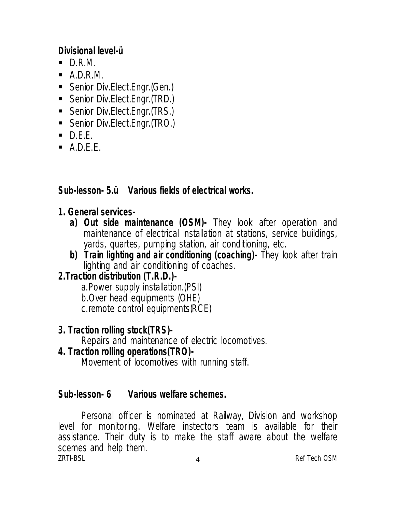#### **Divisional level-ü**

- $\blacksquare$  D.R.M.
- $\blacksquare$  A.D.R.M.
- **Senior Div.Elect.Engr.(Gen.)**
- Senior Div.Elect.Engr.(TRD.)
- Senior Div.Elect.Engr.(TRS.)
- Senior Div.Elect.Engr.(TRO.)
- $\blacksquare$  D.E.E.
- $A.D.E.E.$

# **Sub-lesson- 5.ü Various fields of electrical works.**

#### **1. General services-**

- **a) Out side maintenance (OSM)-** They look after operation and maintenance of electrical installation at stations, service buildings, yards, quartes, pumping station, air conditioning, etc.
- **b) Train lighting and air conditioning (coaching)-** They look after train lighting and air conditioning of coaches.

# **2.Traction distribution (T.R.D.)-**

a.Power supply installation.(PSI) b.Over head equipments (OHE) c.remote control equipments(RCE)

# **3. Traction rolling stock(TRS)-**

Repairs and maintenance of electric locomotives.

#### **4. Traction rolling operations(TRO)-**

Movement of locomotives with running staff.

# **Sub-lesson- 6 Various welfare schemes.**

zRTI-BSL 4 Ref Tech OSM Personal officer is nominated at Railway, Division and workshop level for monitoring. Welfare instectors team is available for their assistance. Their duty is to make the staff aware about the welfare scemes and help them.<br>
ZRTI-BSI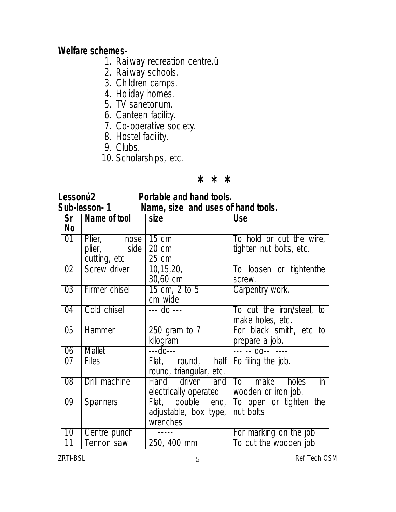#### **Welfare schemes-**

- 1. Railway recreation centre.ü
- 2. Railway schools.
- 3. Children camps.
- 4. Holiday homes.
- 5. TV sanetorium.
- 6. Canteen facility.
- 7. Co-operative society.
- 8. Hostel facility.
- 9. Clubs.
- 10. Scholarships, etc.

#### **\* \* \***

#### **Lessonú-2 Portable and hand tools. Sub-lesson- 1 Name, size and uses of hand tools.**

| Sr              | Name of tool      | $\vert$ size                                          | <b>Use</b>                               |
|-----------------|-------------------|-------------------------------------------------------|------------------------------------------|
| <b>No</b>       |                   |                                                       |                                          |
| 01              | Plier, nose 15 cm |                                                       | To hold or cut the wire,                 |
|                 | plier, side       | $\vert$ 20 cm                                         | tighten nut bolts, etc.                  |
|                 | cutting, etc      | 25 cm                                                 |                                          |
| 02 <sub>2</sub> | Screw driver      | $\vert 10, 15, 20, \vert$                             | To loosen or tightenthe                  |
|                 |                   | 30,60 cm                                              | screw.                                   |
| 03              | Firmer chisel     | 15 cm, 2 to 5                                         | Carpentry work.                          |
|                 |                   | cm wide                                               |                                          |
| 04              | Cold chisel       | $- -$ do $- -$                                        | To cut the iron/steel, to                |
|                 |                   |                                                       | make holes, etc.                         |
| 05              | <b>Hammer</b>     | $250$ gram to $7$                                     | For black smith, etc to                  |
|                 |                   | kilogram                                              | prepare a job.                           |
| 06              | Mallet            | $- -d$ 0 - - -                                        | $\frac{1}{1}$ -- -- do-- ----            |
| 07              | <b>Files</b>      | Flat, round, half Fo filing the job.                  |                                          |
|                 |                   | round, triangular, etc.                               |                                          |
| $\overline{08}$ | Drill machine     | Hand driven and To make holes                         | $\mathsf{in}$                            |
|                 |                   | electrically operated $\parallel$ wooden or iron job. |                                          |
| 09              | <b>Spanners</b>   |                                                       | Flat, double end, To open or tighten the |
|                 |                   | adjustable, box type, nut bolts                       |                                          |
|                 |                   | wrenches                                              |                                          |
| 10              | Centre punch      |                                                       | For marking on the job                   |
| $\overline{11}$ | Tennon saw        | 250, 400 mm                                           | To cut the wooden job                    |

ZRTI-BSL 3 5 Ref Tech OSM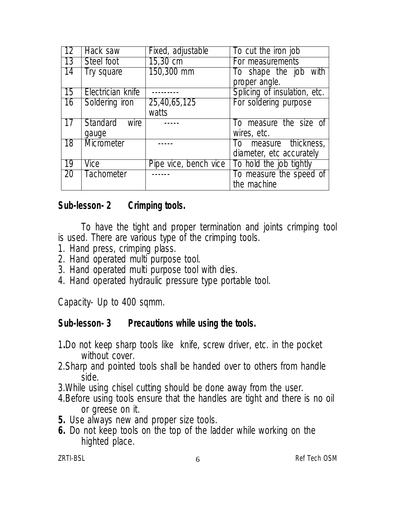| 12        | Hack saw                | Fixed, adjustable     | To cut the iron job             |
|-----------|-------------------------|-----------------------|---------------------------------|
| 13        | Steel foot              | $15,30 \text{ cm}$    | For measurements                |
| 14        | Try square              | $150,300$ mm          | To shape the job with           |
|           |                         |                       | proper angle.                   |
| 15        | Electrician knife       |                       | Splicing of insulation, etc.    |
| 16        | Soldering iron          | 25,40,65,125          | For soldering purpose           |
|           |                         | watts                 |                                 |
| 17        | <b>Standard</b><br>wire |                       | To measure the size of          |
|           | gauge                   |                       | wires, etc.                     |
| 18        | Micrometer              |                       | measure thickness,<br>$10^{-1}$ |
|           |                         |                       | diameter, etc accurately        |
| <b>19</b> | Vice                    | Pipe vice, bench vice | To hold the job tightly         |
| <b>20</b> | <b>Tachometer</b>       |                       | To measure the speed of         |
|           |                         |                       | the machine                     |

#### **Sub-lesson- 2 Crimping tools.**

To have the tight and proper termination and joints crimping tool is used. There are various type of the crimping tools.

- 1. Hand press, crimping plass.
- 2. Hand operated multi purpose tool.
- 3. Hand operated multi purpose tool with dies.
- 4. Hand operated hydraulic pressure type portable tool.

Capacity- Up to 400 sqmm.

#### **Sub-lesson- 3 Precautions while using the tools.**

- 1**.**Do not keep sharp tools like knife, screw driver, etc. in the pocket without cover.
- 2.Sharp and pointed tools shall be handed over to others from handle side.
- 3.While using chisel cutting should be done away from the user.
- 4.Before using tools ensure that the handles are tight and there is no oil or greese on it.
- **5.** Use always new and proper size tools.
- **6.** Do not keep tools on the top of the ladder while working on the highted place.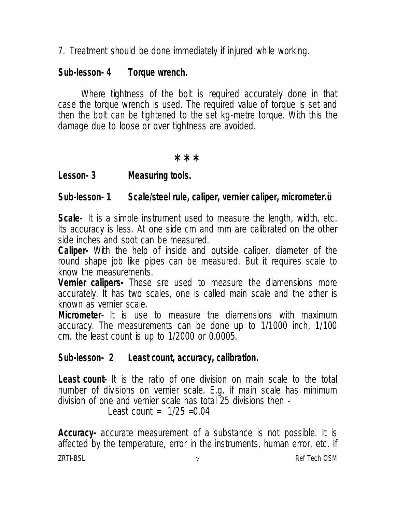7. Treatment should be done immediately if injured while working.

#### **Sub-lesson- 4 Torque wrench.**

Where tightness of the bolt is required accurately done in that case the torque wrench is used. The required value of torque is set and then the bolt can be tightened to the set kg-metre torque. With this the damage due to loose or over tightness are avoided.

**\* \* \***

**Lesson- 3 Measuring tools.**

#### **Sub-lesson- 1 Scale/steel rule, caliper, vernier caliper, micrometer.ü**

**Scale-** It is a simple instrument used to measure the length, width, etc. Its accuracy is less. At one side cm and mm are calibrated on the other side inches and soot can be measured.

**Caliper-** With the help of inside and outside caliper, diameter of the round shape job like pipes can be measured. But it requires scale to know the measurements.

**Vernier calipers-** These sre used to measure the diamensions more accurately. It has two scales, one is called main scale and the other is known as vernier scale.

**Micrometer-** It is use to measure the diamensions with maximum accuracy. The measurements can be done up to 1/1000 inch, 1/100 cm. the least count is up to 1/2000 or 0.0005.

#### **Sub-lesson- 2 Least count, accuracy, calibration.**

**Least count-** It is the ratio of one division on main scale to the total number of divisions on vernier scale. E.g. if main scale has minimum division of one and vernier scale has total 25 divisions then -

Least count =  $1/25 = 0.04$ 

zri BSL 2007 and the contract of the contract of the contract of the contract of the contract of the contract of the contract of the contract of the contract of the contract of the contract of the contract of the contract **Accuracy-** accurate measurement of a substance is not possible. It is affected by the temperature, error in the instruments, human error, etc. If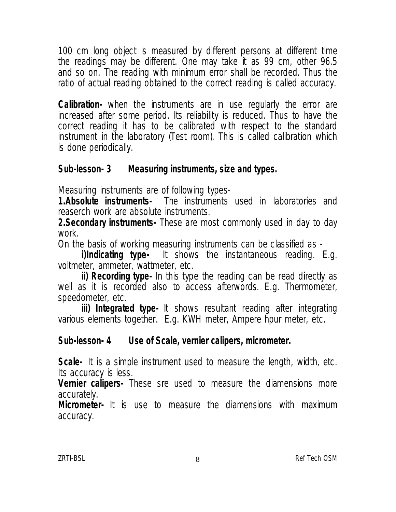100 cm long object is measured by different persons at different time the readings may be different. One may take it as 99 cm, other 96.5 and so on. The reading with minimum error shall be recorded. Thus the ratio of actual reading obtained to the correct reading is called accuracy.

**Calibration-** when the instruments are in use regularly the error are increased after some period. Its reliability is reduced. Thus to have the correct reading it has to be calibrated with respect to the standard instrument in the laboratory (Test room). This is called calibration which is done periodically.

# **Sub-lesson- 3 Measuring instruments, size and types.**

Measuring instruments are of following types-

**1.Absolute instruments-** The instruments used in laboratories and reaserch work are absolute instruments.

**2.Secondary instruments-** These are most commonly used in day to day work.

On the basis of working measuring instruments can be classified as -<br> **i)Indicating type-** It shows the instantaneous reading. It

It shows the instantaneous reading. E.g. voltmeter, ammeter, wattmeter, etc.

**ii) Recording type-** In this type the reading can be read directly as well as it is recorded also to access afterwords. E.g. Thermometer, speedometer, etc.

**iii) Integrated type-** It shows resultant reading after integrating various elements together. E.g. KWH meter, Ampere hpur meter, etc.

#### **Sub-lesson- 4 Use of Scale, vernier calipers, micrometer.**

**Scale-** It is a simple instrument used to measure the length, width, etc. Its accuracy is less.

**Vernier calipers-** These sre used to measure the diamensions more accurately.

**Micrometer-** It is use to measure the diamensions with maximum accuracy.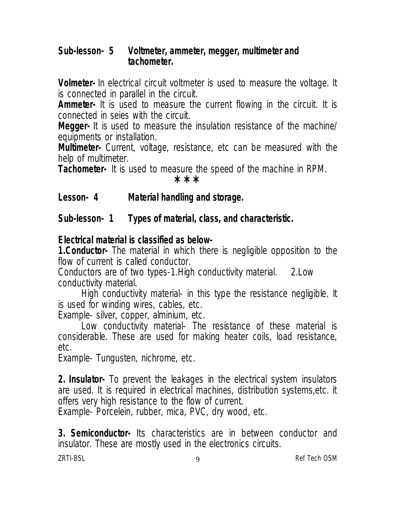#### **Sub-lesson- 5 Voltmeter, ammeter, megger, multimeter and tachometer.**

**Volmeter-** In electrical circuit voltmeter is used to measure the voltage. It is connected in parallel in the circuit.

**Ammeter-** It is used to measure the current flowing in the circuit. It is connected in seies with the circuit.

**Megger-** It is used to measure the insulation resistance of the machine/ equipments or installation.

**Multimeter-** Current, voltage, resistance, etc can be measured with the help of multimeter.

**Tachometer-** It is used to measure the speed of the machine in RPM. **\* \* \***

#### **Lesson- 4 Material handling and storage.**

# **Sub-lesson- 1 Types of material, class, and characteristic.**

#### **Electrical material is classified as below-**

**1.Conductor-** The material in which there is negligible opposition to the flow of current is called conductor.

Conductors are of two types-1.High conductivity material. 2.Low conductivity material.

High conductivity material- in this type the resistance negligible. It is used for winding wires, cables, etc.

Example- silver, copper, alminium, etc.

Low conductivity material- The resistance of these material is considerable. These are used for making heater coils, load resistance, etc.

Example- Tungusten, nichrome, etc.

**2. Insulator-** To prevent the leakages in the electrical system insulators are used. It is required in electrical machines, distribution systems,etc. it offers very high resistance to the flow of current.

Example- Porcelein, rubber, mica, PVC, dry wood, etc.

**3. Semiconductor-** Its characteristics are in between conductor and insulator. These are mostly used in the electronics circuits.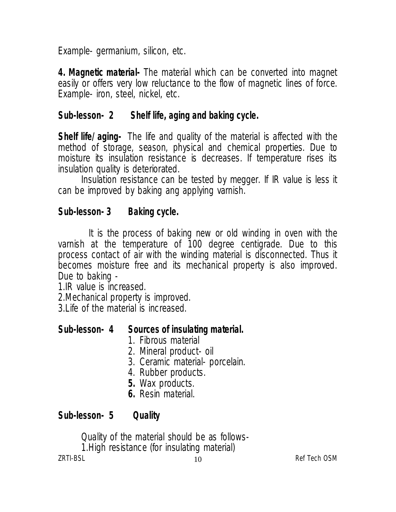Example- germanium, silicon, etc.

**4. Magnetic material-** The material which can be converted into magnet easily or offers very low reluctance to the flow of magnetic lines of force. Example- iron, steel, nickel, etc.

# **Sub-lesson- 2 Shelf life, aging and baking cycle.**

**Shelf life/ aging-** The life and quality of the material is affected with the method of storage, season, physical and chemical properties. Due to moisture its insulation resistance is decreases. If temperature rises its insulation quality is deteriorated.

Insulation resistance can be tested by megger. If IR value is less it can be improved by baking ang applying varnish.

# **Sub-lesson- 3 Baking cycle.**

It is the process of baking new or old winding in oven with the varnish at the temperature of 100 degree centigrade. Due to this process contact of air with the winding material is disconnected. Thus it becomes moisture free and its mechanical property is also improved. Due to baking -

1.IR value is increased.

2.Mechanical property is improved.

3.Life of the material is increased.

# **Sub-lesson- 4 Sources of insulating material.**

- 1. Fibrous material
- 2. Mineral product- oil
- 3. Ceramic material- porcelain.
- 4. Rubber products.
- **5.** Wax products.
- **6.** Resin material.

# **Sub-lesson- 5 Quality**

ZRTI-BSL and the contract of the contract of the contract of the contract of the contract of the contract of the contract of the contract of the contract of the contract of the contract of the contract of the contract of t Quality of the material should be as follows-1.High resistance (for insulating material)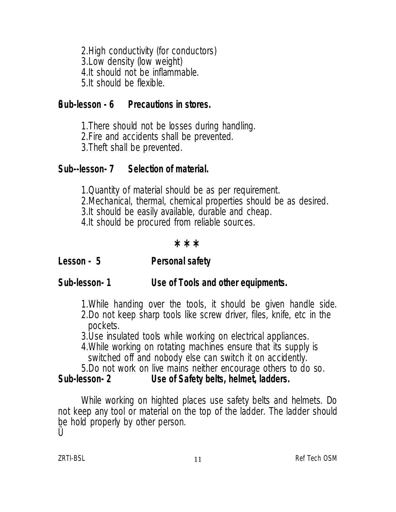2.High conductivity (for conductors) 3.Low density (low weight) 4.It should not be inflammable. 5.It should be flexible.

#### **üSub-lesson - 6 Precautions in stores.**

1.There should not be losses during handling. 2.Fire and accidents shall be prevented. 3.Theft shall be prevented.

#### **Sub--lesson- 7 Selection of material.**

1.Quantity of material should be as per requirement. 2.Mechanical, thermal, chemical properties should be as desired. 3.It should be easily available, durable and cheap. 4.It should be procured from reliable sources.

#### **\* \* \***

**Lesson - 5 Personal safety**

#### **Sub-lesson- 1 Use of Tools and other equipments.**

- 1.While handing over the tools, it should be given handle side.
- 2.Do not keep sharp tools like screw driver, files, knife, etc in the pockets.
- 3.Use insulated tools while working on electrical appliances.
- 4.While working on rotating machines ensure that its supply is switched off and nobody else can switch it on accidently.
- 5.Do not work on live mains neither encourage others to do so.

#### **Sub-lesson- 2 Use of Safety belts, helmet, ladders.**

While working on highted places use safety belts and helmets. Do not keep any tool or material on the top of the ladder. The ladder should be hold properly by other person.

II Ü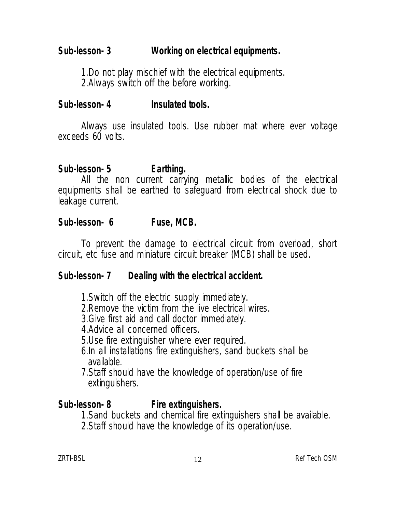# **Sub-lesson- 3 Working on electrical equipments.**

1.Do not play mischief with the electrical equipments. 2.Always switch off the before working.

#### **Sub-lesson- 4 Insulated tools.**

Always use insulated tools. Use rubber mat where ever voltage exceeds 60 volts.

#### **Sub-lesson- 5 Earthing.**

All the non current carrying metallic bodies of the electrical equipments shall be earthed to safeguard from electrical shock due to leakage current.

#### **Sub-lesson- 6 Fuse, MCB.**

To prevent the damage to electrical circuit from overload, short circuit, etc fuse and miniature circuit breaker (MCB) shall be used.

#### **Sub-lesson- 7 Dealing with the electrical accident.**

- 1.Switch off the electric supply immediately.
- 2.Remove the victim from the live electrical wires.
- 3.Give first aid and call doctor immediately.
- 4.Advice all concerned officers.
- 5.Use fire extinguisher where ever required.
- 6.In all installations fire extinguishers, sand buckets shall be available.
- 7.Staff should have the knowledge of operation/use of fire extinguishers.

#### **Sub-lesson- 8 Fire extinguishers.**

1.Sand buckets and chemical fire extinguishers shall be available.

2.Staff should have the knowledge of its operation/use.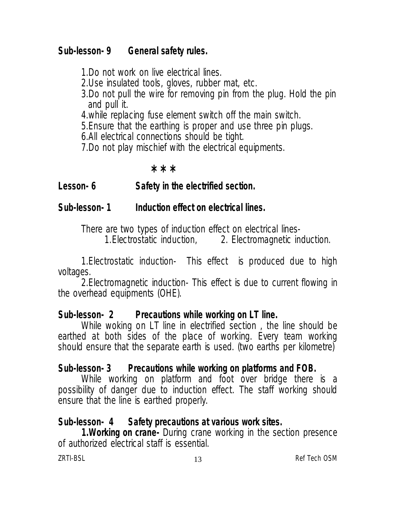#### **Sub-lesson- 9 General safety rules.**

1.Do not work on live electrical lines.

- 2.Use insulated tools, gloves, rubber mat, etc.
- 3.Do not pull the wire for removing pin from the plug. Hold the pin and pull it.
- 4.while replacing fuse element switch off the main switch.
- 5.Ensure that the earthing is proper and use three pin plugs.
- 6.All electrical connections should be tight.
- 7.Do not play mischief with the electrical equipments.

#### **\* \* \***

# **Lesson- 6 Safety in the electrified section.**

# **Sub-lesson- 1 Induction effect on electrical lines.**

There are two types of induction effect on electrical lines-<br>1.Electrostatic induction, 2. Electromagnetic induction. 1. Electrostatic induction,

1.Electrostatic induction- This effect is produced due to high voltages.

2.Electromagnetic induction- This effect is due to current flowing in the overhead equipments (OHE).

#### **Sub-lesson- 2 Precautions while working on LT line.**

While woking on LT line in electrified section , the line should be earthed at both sides of the place of working. Every team working should ensure that the separate earth is used. (two earths per kilometre)

# **Sub-lesson- 3 Precautions while working on platforms and FOB.**

While working on platform and foot over bridge there is a possibility of danger due to induction effect. The staff working should ensure that the line is earthed properly.

# **Sub-lesson- 4 Safety precautions at various work sites.**

**1.Working on crane-** During crane working in the section presence of authorized electrical staff is essential.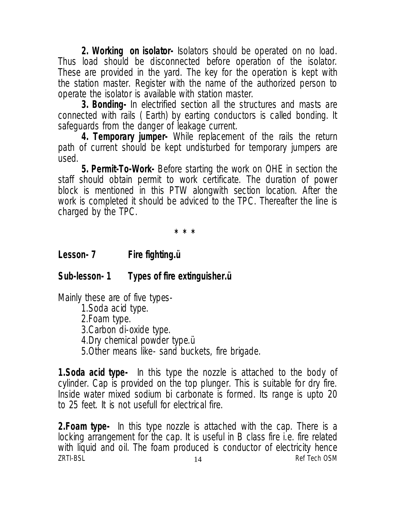**2. Working on isolator-** Isolators should be operated on no load. Thus load should be disconnected before operation of the isolator. These are provided in the yard. The key for the operation is kept with the station master. Register with the name of the authorized person to operate the isolator is available with station master.

**3. Bonding-** In electrified section all the structures and masts are connected with rails ( Earth) by earting conductors is called bonding. It safeguards from the danger of leakage current.

**4. Temporary jumper-** While replacement of the rails the return path of current should be kept undisturbed for temporary jumpers are used.

**5. Permit-To-Work-** Before starting the work on OHE in section the staff should obtain permit to work certificate. The duration of power block is mentioned in this PTW alongwith section location. After the work is completed it should be adviced to the TPC. Thereafter the line is charged by the TPC.

**\* \* \*** 

#### **Lesson- 7 Fire fighting.ü**

#### **Sub-lesson- 1 Types of fire extinguisher.ü**

Mainly these are of five types-

1.Soda acid type.

2.Foam type.

3.Carbon di-oxide type.

4.Dry chemical powder type.ü

5.Other means like- sand buckets, fire brigade.

**1.Soda acid type-** In this type the nozzle is attached to the body of cylinder. Cap is provided on the top plunger. This is suitable for dry fire. Inside water mixed sodium bi carbonate is formed. Its range is upto 20 to 25 feet. It is not usefull for electrical fire.

ZRTI-BSL and the contract of the contract of the contract of the contract of the contract of the contract of the contract of the contract of the contract of the contract of the contract of the contract of the contract of t **2.Foam type-** In this type nozzle is attached with the cap. There is a locking arrangement for the cap. It is useful in B class fire i.e. fire related with liquid and oil. The foam produced is conductor of electricity hence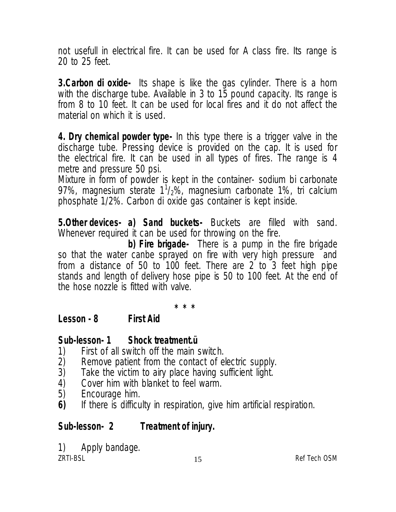not usefull in electrical fire. It can be used for A class fire. Its range is 20 to 25 feet.

**3.Carbon di oxide-** Its shape is like the gas cylinder. There is a horn with the discharge tube. Available in 3 to 15 pound capacity. Its range is from 8 to 10 feet. It can be used for local fires and it do not affect the material on which it is used.

**4. Dry chemical powder type-** In this type there is a trigger valve in the discharge tube. Pressing device is provided on the cap. It is used for the electrical fire. It can be used in all types of fires. The range is 4 metre and pressure 50 psi.

Mixture in form of powder is kept in the container- sodium bi carbonate 97%, magnesium sterate  $1^{1}/2$ %, magnesium carbonate 1%, tri calcium phosphate 1/2%. Carbon di oxide gas container is kept inside.

**5.Other devices- a) Sand buckets-** Buckets are filled with sand. Whenever required it can be used for throwing on the fire.

**b) Fire brigade-** There is a pump in the fire brigade so that the water canbe sprayed on fire with very high pressure and from a distance of 50 to 100 feet. There are 2 to 3 feet high pipe stands and length of delivery hose pipe is 50 to 100 feet. At the end of the hose nozzle is fitted with valve.

**\* \* \*** 

# **Lesson - 8 First Aid**

#### **Sub-lesson- 1 Shock treatment.ü**

- 
- 1) First of all switch off the main switch.<br>2) Remove patient from the contact of el
- 2) Remove patient from the contact of electric supply.<br>3) Take the victim to airy place having sufficient light. 3) Take the victim to airy place having sufficient light.<br>4) Cover him with blanket to feel warm.
- 4) Cover him with blanket to feel warm.<br>5) Encourage him.
- 
- 5) Encourage him.<br>**6)** If there is difficu **6)** If there is difficulty in respiration, give him artificial respiration.

# **Sub-lesson- 2 Treatment of injury.**

ZRTI-BSL and the contract of the contract of the contract of the contract of the contract of the contract of the contract of the contract of the contract of the contract of the contract of the contract of the contract of t 1) Apply bandage.<br><sub>ZRTI-BSI</sub>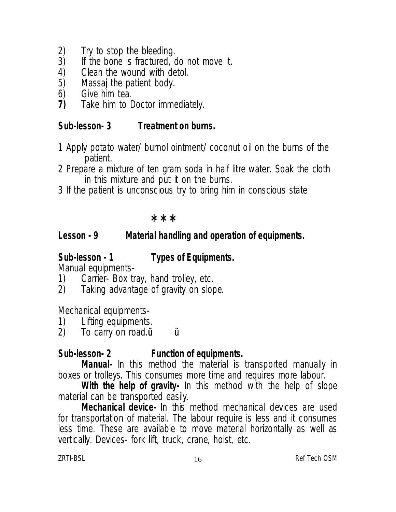- 
- 2) Try to stop the bleeding.<br>3) If the bone is fractured, or 3) If the bone is fractured, do not move it.<br>4) Clean the wound with detol.
- 
- 4) Clean the wound with detol.<br>5) Massaj the patient body. 5) Massaj the patient body.<br>6) Give him tea.
- 
- 6) Give him tea.<br>7) Take him to D **7)** Take him to Doctor immediately.

# **Sub-lesson- 3 Treatment on burns.**

- 1 Apply potato water/ burnol ointment/ coconut oil on the burns of the patient.
- 2 Prepare a mixture of ten gram soda in half litre water. Soak the cloth in this mixture and put it on the burns.
- 3 If the patient is unconscious try to bring him in conscious state

#### **\* \* \***

# **Lesson - 9 Material handling and operation of equipments.**

# **Sub-lesson - 1 Types of Equipments.**

- Manual equipments-<br>1) Carrier- Box tr 1) Carrier- Box tray, hand trolley, etc.<br>2) Taking advantage of gravity on slop
- Taking advantage of gravity on slope.

Mechanical equipments-

- 1) Lifting equipments.<br>2) To carry on road.i
- To carry on road.**u u**

# **Sub-lesson- 2 Function of equipments.**

**Manual-** In this method the material is transported manually in boxes or trolleys. This consumes more time and requires more labour.

**With the help of gravity-** In this method with the help of slope material can be transported easily.

**Mechanical device-** In this method mechanical devices are used for transportation of material. The labour require is less and it consumes less time. These are available to move material horizontally as well as vertically. Devices- fork lift, truck, crane, hoist, etc.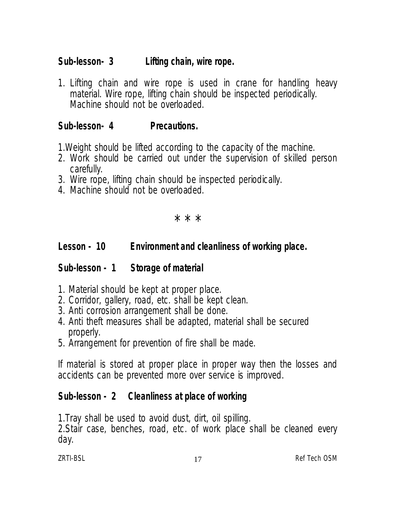# **Sub-lesson- 3 Lifting chain, wire rope.**

1. Lifting chain and wire rope is used in crane for handling heavy material. Wire rope, lifting chain should be inspected periodically. Machine should not be overloaded.

# **Sub-lesson- 4 Precautions.**

- 1.Weight should be lifted according to the capacity of the machine.
- 2. Work should be carried out under the supervision of skilled person carefully.
- 3. Wire rope, lifting chain should be inspected periodically.
- 4. Machine should not be overloaded.

\* \* \*

# **Lesson - 10 Environment and cleanliness of working place.**

# **Sub-lesson - 1 Storage of material**

- 1. Material should be kept at proper place.
- 2. Corridor, gallery, road, etc. shall be kept clean.
- 3. Anti corrosion arrangement shall be done.
- 4. Anti theft measures shall be adapted, material shall be secured properly.
- 5. Arrangement for prevention of fire shall be made.

If material is stored at proper place in proper way then the losses and accidents can be prevented more over service is improved.

# **Sub-lesson - 2 Cleanliness at place of working**

1.Tray shall be used to avoid dust, dirt, oil spilling.

2.Stair case, benches, road, etc. of work place shall be cleaned every day.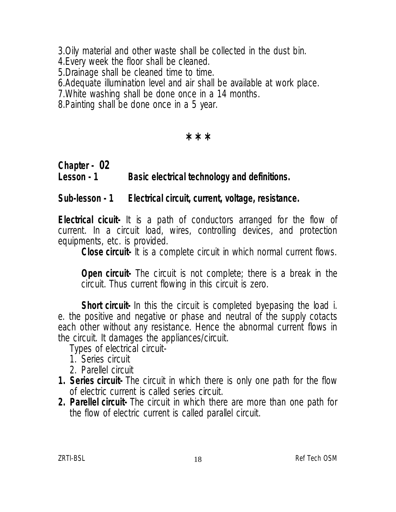3.Oily material and other waste shall be collected in the dust bin.

4.Every week the floor shall be cleaned.

5.Drainage shall be cleaned time to time.

6.Adequate illumination level and air shall be available at work place.

7.White washing shall be done once in a 14 months.

8.Painting shall be done once in a 5 year.

 **\* \* \***

# **Chapter - 02 Lesson - 1 Basic electrical technology and definitions.**

#### **Sub-lesson - 1 Electrical circuit, current, voltage, resistance.**

**Electrical cicuit-** It is a path of conductors arranged for the flow of current. In a circuit load, wires, controlling devices, and protection equipments, etc. is provided.

**Close circuit-** It is a complete circuit in which normal current flows.

**Open circuit-** The circuit is not complete; there is a break in the circuit. Thus current flowing in this circuit is zero.

**Short circuit-** In this the circuit is completed byepasing the load i. e. the positive and negative or phase and neutral of the supply cotacts each other without any resistance. Hence the abnormal current flows in the circuit. It damages the appliances/circuit.

Types of electrical circuit-

1. Series circuit

- 2. Parellel circuit
- **1. Series circuit-** The circuit in which there is only one path for the flow of electric current is called series circuit.
- **2. Parellel circuit-** The circuit in which there are more than one path for the flow of electric current is called parallel circuit.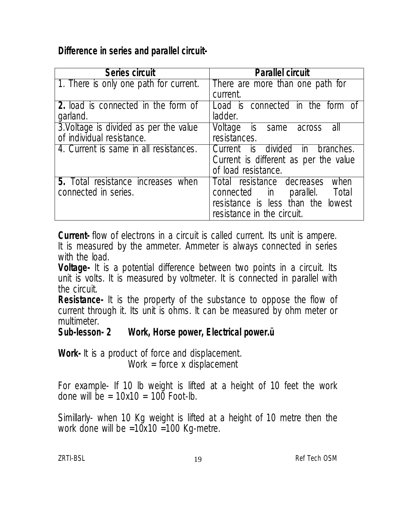#### **Difference in series and parallel circuit-**

| <b>Series circuit</b>                      | <b>Parallel circuit</b>               |
|--------------------------------------------|---------------------------------------|
| 1. There is only one path for current.     | There are more than one path for      |
|                                            | current.                              |
| <b>2.</b> load is connected in the form of | Load is connected in the form of      |
| garland.                                   | ladder.                               |
| 3. Voltage is divided as per the value     | Voltage is same across<br>- all       |
| of individual resistance.                  | resistances.                          |
| 4. Current is same in all resistances.     | Current is divided in branches.       |
|                                            | Current is different as per the value |
|                                            | of load resistance.                   |
| <b>5.</b> Total resistance increases when  | Total resistance decreases<br>when    |
| connected in series.                       | connected in<br>parallel. Total       |
|                                            | resistance is less than the lowest    |
|                                            | resistance in the circuit.            |

**Current-** flow of electrons in a circuit is called current. Its unit is ampere. It is measured by the ammeter. Ammeter is always connected in series with the load.

**Voltage-** It is a potential difference between two points in a circuit. Its unit is volts. It is measured by voltmeter. It is connected in parallel with the circuit.

**Resistance-** It is the property of the substance to oppose the flow of current through it. Its unit is ohms. It can be measured by ohm meter or multimeter.<br>Sub-lesson- 2

**Sub-lesson- 2 Work, Horse power, Electrical power.ü**

**Work-** It is a product of force and displacement. Work = force  $x$  displacement

For example- If 10 lb weight is lifted at a height of 10 feet the work done will be  $= 10x10 = 100$  Foot-lb.

Simillarly- when 10 Kg weight is lifted at a height of 10 metre then the work done will be  $=10x10 = 100$  Kg-metre.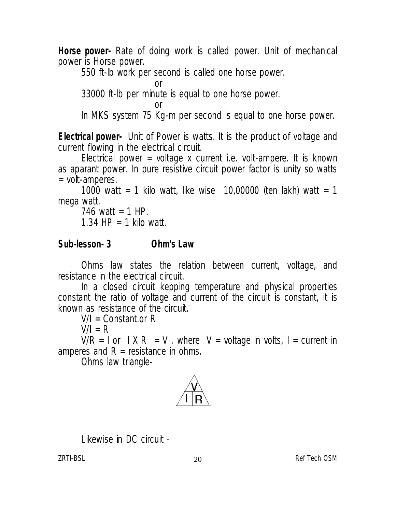**Horse power-** Rate of doing work is called power. Unit of mechanical power is Horse power.

550 ft-lb work per second is called one horse power.

or

33000 ft-lb per minute is equal to one horse power.

or

In MKS system 75 Kg-m per second is equal to one horse power.

**Electrical power-** Unit of Power is watts. It is the product of voltage and current flowing in the electrical circuit.

Electrical power = voltage x current i.e. volt-ampere. It is known as aparant power. In pure resistive circuit power factor is unity so watts = volt-amperes.

1000 watt = 1 kilo watt, like wise 10,00000 (ten lakh) watt = 1 mega watt.

746 watt =  $1$  HP. 1.34 HP = 1 kilo watt.

# **Sub-lesson- 3 Ohm's Law**

Ohms law states the relation between current, voltage, and resistance in the electrical circuit.

In a closed circuit kepping temperature and physical properties constant the ratio of voltage and current of the circuit is constant, it is known as resistance of the circuit.

 $V/I =$  Constant.or R

 $V/I = R$ 

 $V/R = I$  or  $IX R = V$ . where  $V =$  voltage in volts, I = current in amperes and  $R =$  resistance in ohms.

Ohms law triangle-



Likewise in DC circuit -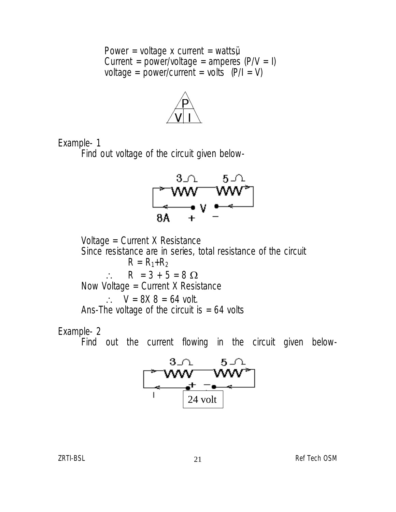Power = voltage x current = watts $\ddot{\mathbf{y}}$ Current = power/voltage = amperes  $(P/V = I)$ voltage = power/current = volts  $(PI = V)$ 



Example- 1

Find out voltage of the circuit given below-



Voltage = Current X Resistance Since resistance are in series, total resistance of the circuit  $R = R_1 + R_2$  $\therefore$  R = 3 + 5 = 8  $\Omega$ Now Voltage = Current X Resistance  $\therefore$  V = 8X 8 = 64 volt. Ans-The voltage of the circuit is  $= 64$  volts

#### Example- 2

Find out the current flowing in the circuit given below-

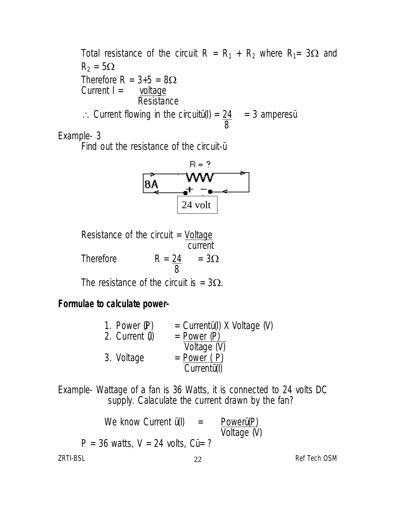Total resistance of the circuit R =  $R_1 + R_2$  where R<sub>1</sub>= 3 $\Omega$  and  $R_2 = 5\Omega$ Therefore  $R = 3+5 = 8\Omega$ <br>Current I = voltage Current  $I =$ **Resistance**  $\therefore$  Current flowing in the circuitu(I) =  $24 = 3$  amperes 8

Example- 3

Find out the resistance of the circuit-ü



Resistance of the circuit  $=$  Voltage current

Therefore  $R = 24 = 3\Omega$ 8

The resistance of the circuit is =  $3\Omega$ .

# **Formulae to calculate power-**

| 1. Power $(P)$   | = $Currentü(I)$ X Voltage (V) |
|------------------|-------------------------------|
| 2. Current $(I)$ | $=$ Power $(P)$               |
|                  | Voltage (V)                   |
| 3. Voltage       | $= Power (P)$                 |
|                  | Currentu(I)                   |
|                  |                               |

Example- Wattage of a fan is 36 Watts, it is connected to 24 volts DC supply. Calaculate the current drawn by the fan?

|          | We know Current $\ddot{u}$ (I)                  | $=$          | Powerü(P)<br>Voltage (V) |              |
|----------|-------------------------------------------------|--------------|--------------------------|--------------|
|          | $P = 36$ watts, $V = 24$ volts, $C\ddot{u} = ?$ |              |                          |              |
| ZRTI-BSL |                                                 | $22^{\circ}$ |                          | Ref Tech OSM |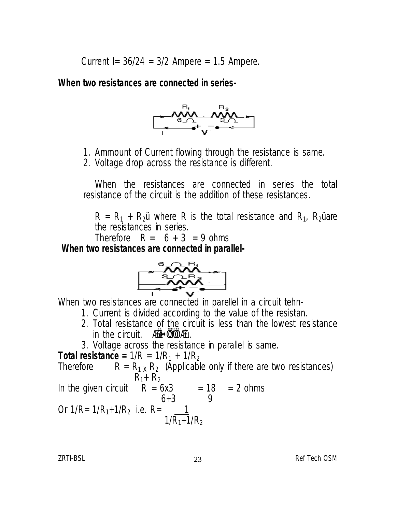Current I=  $36/24 = 3/2$  Ampere = 1.5 Ampere.

**When two resistances are connected in series-**



- 1. Ammount of Current flowing through the resistance is same.
- 2. Voltage drop across the resistance is different.

When the resistances are connected in series the total resistance of the circuit is the addition of these resistances.

 $R = R_1 + R_2$ ü where R is the total resistance and  $R_1$ ,  $R_2$ ü are the resistances in series.

Therefore  $R = 6 + 3 = 9$  ohms

**When two resistances are connected in parallel-**



When two resistances are connected in parellel in a circuit tehn-

- 1. Current is divided according to the value of the resistan.
- 2. Total resistance of the circuit is less than the lowest resistance in the circuit. ÆÜ · ÜWÖ Æü.
- 3. Voltage across the resistance in parallel is same.

**Total resistance =**  $1/R = 1/R_1 + 1/R_2$ <br>Therefore  $R = R_1 \times R_2$  (Applicabl  $R = R_{1} \times R_{2}$  (Applicable only if there are two resistances)  $R_{1}+ R_{2}$ In the given circuit  $R = 6x3 = 18 = 2$  ohms  $6+3$  9 Or 1/R= 1/R<sub>1</sub>+1/R<sub>2</sub> i.e. R= <u>\_\_ 1</u>  $1/R_1 + 1/R_2$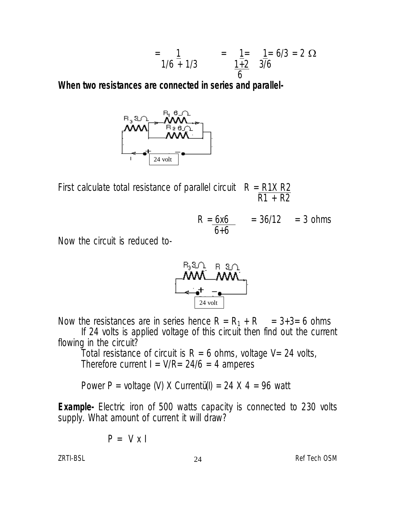$$
= \frac{1}{1/6 + 1/3} = \frac{1}{1+2} = \frac{1}{3/6} = 2 \Omega
$$

**When two resistances are connected in series and parallel-**



First calculate total resistance of parallel circuit  $R = R1X R2$ R1 + R2

$$
R = \frac{6x6}{6+6} = 36/12 = 3 \text{ ohms}
$$

Now the circuit is reduced to-



Now the resistances are in series hence  $R = R_1 + R_2 = 3+3= 6$  ohms If 24 volts is applied voltage of this circuit then find out the current

flowing in the circuit?

Total resistance of circuit is  $R = 6$  ohms, voltage V= 24 volts, Therefore current  $I = V/R = 24/6 = 4$  amperes

Power P = voltage (V) X Currentü(I) = 24 X 4 = 96 watt

**Example-** Electric iron of 500 watts capacity is connected to 230 volts supply. What amount of current it will draw?

$$
P = V x I
$$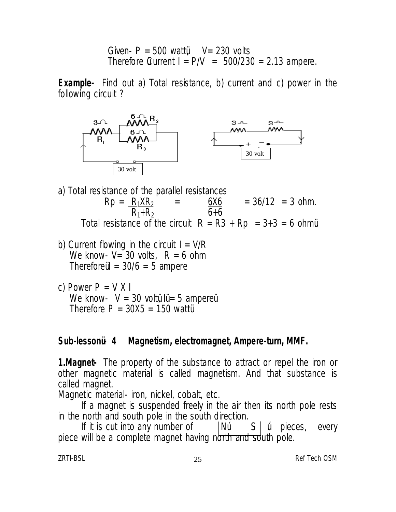Given-  $P = 500$  wattü $V = 230$  volts Therefore Current  $I = P/V = 500/230 = 2.13$  ampere.

**Example-** Find out a) Total resistance, b) current and c) power in the following circuit ?



- a) Total resistance of the parallel resistances<br> $Rp = \frac{R_1XR_2}{r} = \frac{6X6}{r}$  $\frac{6X6}{6+6}$  = 36/12 = 3 ohm.  $R_1+R_2$ Total resistance of the circuit  $R = R3 + Rp = 3+3 = 6$  ohmu
- b) Current flowing in the circuit  $I = V/R$ We know-  $V = 30$  volts,  $R = 6$  ohm Therefore  $1 = 30/6 = 5$  ampere
- c) Power  $P = V X I$ We know-  $V = 30$  voltü lü = 5 ampereü Therefore  $P = 30X5 = 150$  wattu

#### **Sub-lessonü - 4 Magnetism, electromagnet, Ampere-turn, MMF.**

**1.Magnet-** The property of the substance to attract or repel the iron or other magnetic material is called magnetism. And that substance is called magnet.

Magnetic material- iron, nickel, cobalt, etc.

If a magnet is suspended freely in the air then its north pole rests in the north and south pole in the south direction.

If it is cut into any number of  $\vert$ Nú  $\vert$  S  $\vert$  ú pieces, every piece will be a complete magnet having north and south pole.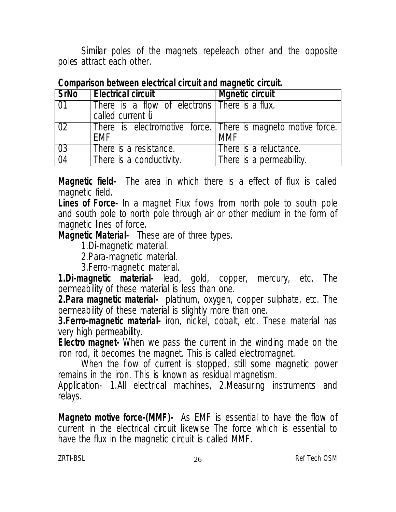Similar poles of the magnets repeleach other and the opposite poles attract each other.

| <b>SrNo</b>     | <b>Electrical circuit</b>                                    | <b>Mgnetic circuit</b>   |
|-----------------|--------------------------------------------------------------|--------------------------|
| $\overline{01}$ | There is a flow of electrons There is a flux.                |                          |
|                 | called current li                                            |                          |
| 02              | There is electromotive force. There is magneto motive force. |                          |
|                 | <b>FMF</b>                                                   | MMF                      |
| 03              | There is a resistance.                                       | There is a reluctance.   |
| 04              | There is a conductivity.                                     | There is a permeability. |

**Comparison between electrical circuit and magnetic circuit.** 

**Magnetic field-** The area in which there is a effect of flux is called magnetic field.

**Lines of Force-** In a magnet Flux flows from north pole to south pole and south pole to north pole through air or other medium in the form of magnetic lines of force.

**Magnetic Material-** These are of three types.

1.Di-magnetic material.

2.Para-magnetic material.

3.Ferro-magnetic material.

**1.Di-magnetic material-** lead, gold, copper, mercury, etc. The permeability of these material is less than one.

**2.Para magnetic material-** platinum, oxygen, copper sulphate, etc. The permeability of these material is slightly more than one.

**3. Ferro-magnetic material-** iron, nickel, cobalt, etc. These material has very high permeability.

**Electro magnet-** When we pass the current in the winding made on the iron rod, it becomes the magnet. This is called electromagnet.

When the flow of current is stopped, still some magnetic power remains in the iron. This is known as residual magnetism.

Application- 1.All electrical machines, 2.Measuring instruments and relays.

**Magneto motive force-(MMF)-** As EMF is essential to have the flow of current in the electrical circuit likewise The force which is essential to have the flux in the magnetic circuit is called MMF.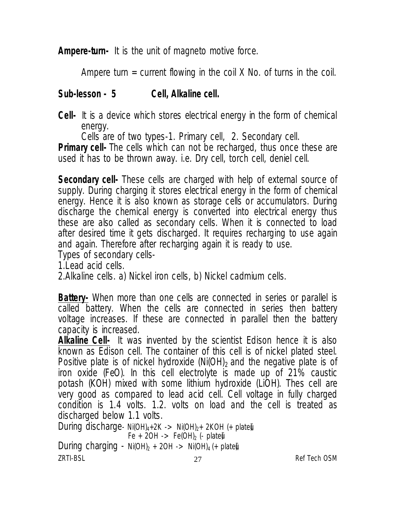**Ampere-turn-** It is the unit of magneto motive force.

Ampere turn  $=$  current flowing in the coil X No. of turns in the coil.

#### **Sub-lesson - 5 Cell, Alkaline cell.**

**Cell-** It is a device which stores electrical energy in the form of chemical energy.

Cells are of two types-1. Primary cell, 2. Secondary cell.

**Primary cell-** The cells which can not be recharged, thus once these are used it has to be thrown away. i.e. Dry cell, torch cell, deniel cell.

**Secondary cell-** These cells are charged with help of external source of supply. During charging it stores electrical energy in the form of chemical energy. Hence it is also known as storage cells or accumulators. During discharge the chemical energy is converted into electrical energy thus these are also called as secondary cells. When it is connected to load after desired time it gets discharged. It requires recharging to use again and again. Therefore after recharging again it is ready to use.

Types of secondary cells-

1.Lead acid cells.

2.Alkaline cells. a) Nickel iron cells, b) Nickel cadmium cells.

**Battery-** When more than one cells are connected in series or parallel is called battery. When the cells are connected in series then battery voltage increases. If these are connected in parallel then the battery capacity is increased.

**Alkaline Cell-** It was invented by the scientist Edison hence it is also known as Edison cell. The container of this cell is of nickel plated steel. Positive plate is of nickel hydroxide (Ni(OH)<sub>2</sub> and the negative plate is of iron oxide (FeO). In this cell electrolyte is made up of 21% caustic potash (KOH) mixed with some lithium hydroxide (LiOH). Thes cell are very good as compared to lead acid cell. Cell voltage in fully charged condition is 1.4 volts. 1.2. volts on load and the cell is treated as discharged below 1.1 volts.

 $27$  Ref Tech OSM During discharge-  $Ni(OH)<sub>4</sub>+2K$  ->  $Ni(OH)<sub>2</sub>+2KOH$  (+ platei), Fe + 2OH -> Fe(OH)<sub>2</sub> (- plate) During charging - Ni(OH)<sub>2</sub> + 2OH -> Ni(OH)<sub>4</sub> (+ plate),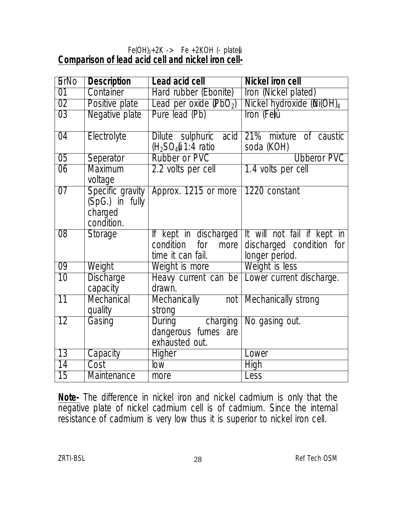#### $Fe(OH)_{2}+2K\rightarrow$  Fe +2KOH (- plate) **Comparison of lead acid cell and nickel iron cell-**

| 6rN <sub>0</sub> | <b>Description</b>                                           | Lead acid cell                                           | <b>Nickel iron cell</b>                                                                              |
|------------------|--------------------------------------------------------------|----------------------------------------------------------|------------------------------------------------------------------------------------------------------|
| 01               | Container                                                    | Hard rubber (Ebonite)                                    | <b>Iron (Nickel plated)</b>                                                                          |
| 02               | Positive plate                                               | Lead per oxide $(PbO2)$                                  | Nickel hydroxide (Ni(OH) <sub>4</sub>                                                                |
| 03               | Negative plate                                               | Pure lead (Pb)                                           | Iron (Fe)ú                                                                                           |
| $\overline{04}$  | Electrolyte                                                  | Dilute sulphuric<br>acid<br>$(H2SO4)$ 1:4 ratio          | 21% mixture of caustic<br>soda (KOH)                                                                 |
| 05               | Seperator                                                    | <b>Rubber or PVC</b>                                     | <b>Ubberor PVC</b>                                                                                   |
| $\overline{06}$  | <b>Maximum</b><br>voltage                                    | 2.2 volts per cell                                       | 1.4 volts per cell                                                                                   |
| $\overline{07}$  | Specific gravity<br>(SpG.) in fully<br>charged<br>condition. | Approx. 1215 or more 1220 constant                       |                                                                                                      |
| $\overline{08}$  | <b>Storage</b>                                               | condition<br>for<br>time it can fail.                    | If kept in discharged It will not fail if kept in<br>more discharged condition for<br>longer period. |
| $\overline{09}$  | Weight                                                       | Weight is more                                           | Weight is less                                                                                       |
| 10               | <b>Discharge</b><br>capacity                                 | drawn.                                                   | Heavy current can be Lower current discharge.                                                        |
| $\overline{11}$  | Mechanical<br>quality                                        | <b>Mechanically</b><br>strong                            | not   Mechanically strong                                                                            |
| 12               | Gasing                                                       | During charging<br>dangerous fumes are<br>exhausted out. | No gasing out.                                                                                       |
| $\overline{13}$  | Capacity                                                     | <b>Higher</b>                                            | Lower                                                                                                |
| $\overline{14}$  | Cost                                                         | low                                                      | <b>High</b>                                                                                          |
| $\overline{15}$  | <b>Maintenance</b>                                           | more                                                     | Less                                                                                                 |

**Note-** The difference in nickel iron and nickel cadmium is only that the negative plate of nickel cadmium cell is of cadmium. Since the internal resistance of cadmium is very low thus it is superior to nickel iron cell.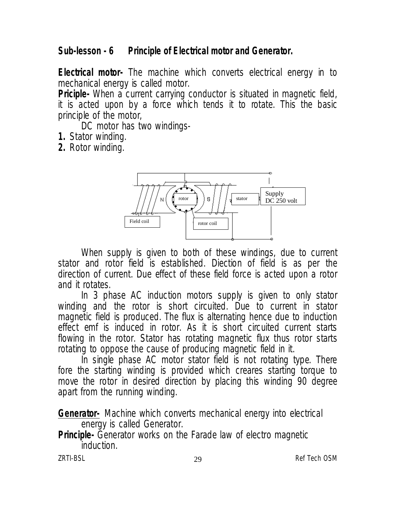# **Sub-lesson - 6 Principle of Electrical motor and Generator.**

**Electrical motor-** The machine which converts electrical energy in to mechanical energy is called motor.

**Priciple-** When a current carrying conductor is situated in magnetic field, it is acted upon by a force which tends it to rotate. This the basic principle of the motor,

DC motor has two windings-

- **1.** Stator winding.
- **2.** Rotor winding.



When supply is given to both of these windings, due to current stator and rotor field is established. Diection of field is as per the direction of current. Due effect of these field force is acted upon a rotor and it rotates.

In 3 phase AC induction motors supply is given to only stator winding and the rotor is short circuited. Due to current in stator magnetic field is produced. The flux is alternating hence due to induction effect emf is induced in rotor. As it is short circuited current starts flowing in the rotor. Stator has rotating magnetic flux thus rotor starts rotating to oppose the cause of producing magnetic field in it.

In single phase AC motor stator field is not rotating type. There fore the starting winding is provided which creares starting torque to move the rotor in desired direction by placing this winding 90 degree apart from the running winding.

**Generator-** Machine which converts mechanical energy into electrical energy is called Generator.

**Principle-** Generator works on the Farade law of electro magnetic induction.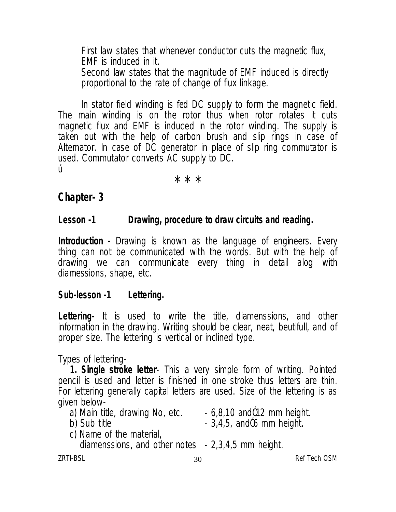First law states that whenever conductor cuts the magnetic flux, EMF is induced in it. Second law states that the magnitude of EMF induced is directly proportional to the rate of change of flux linkage.

In stator field winding is fed DC supply to form the magnetic field. The main winding is on the rotor thus when rotor rotates it cuts magnetic flux and EMF is induced in the rotor winding. The supply is taken out with the help of carbon brush and slip rings in case of Alternator. In case of DC generator in place of slip ring commutator is used. Commutator converts AC supply to DC. ú Ú

\* \* \*

#### **Chapter- 3**

#### **Lesson -1 Drawing, procedure to draw circuits and reading.**

**Introduction -** Drawing is known as the language of engineers. Every thing can not be communicated with the words. But with the help of drawing we can communicate every thing in detail alog with diamessions, shape, etc.

#### **Sub-lesson -1 Lettering.**

**Lettering-** It is used to write the title, diamenssions, and other information in the drawing. Writing should be clear, neat, beutifull, and of proper size. The lettering is vertical or inclined type.

Types of lettering-

**1. Single stroke letter**- This a very simple form of writing. Pointed pencil is used and letter is finished in one stroke thus letters are thin. For lettering generally capital letters are used. Size of the lettering is as given below-

- a) Main title, drawing No, etc.  $\qquad 6,8,10$  and  $012$  mm height.<br>b) Sub title  $\qquad \qquad -3,4,5$ , and  $06$  mm height.
- 

- $-$  3,4,5, and $06$  mm height.
- c) Name of the material,
	- diamenssions, and other notes 2,3,4,5 mm height.

ZRTI-BSL 30 Ref Tech OSM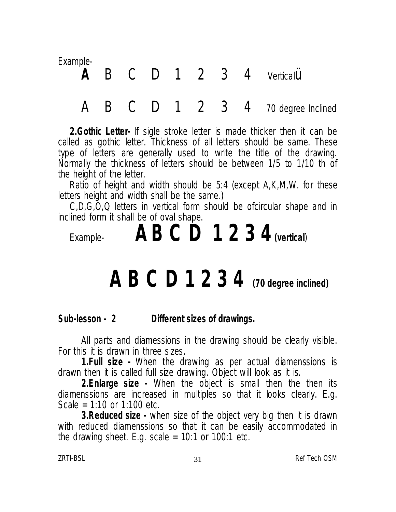Example-

# **A** B C D 1 2 3 4 Verticalü

*A B C D 1 2 3 4* 70 degree Inclined

**2.Gothic Letter-** If sigle stroke letter is made thicker then it can be called as gothic letter. Thickness of all letters should be same. These type of letters are generally used to write the title of the drawing. Normally the thickness of letters should be between 1/5 to 1/10 th of the height of the letter.

Ratio of height and width should be 5:4 (except A,K,M,W. for these letters height and width shall be the same.)

C,D,G,O,Q letters in vertical form should be ofcircular shape and in inclined form it shall be of oval shape.

Example- **AB C D 1 2 3 4(vertical**)

# *A B C D 1 2 3 4* **(70 degree inclined)**

**Sub-lesson - 2 Different sizes of drawings.**

All parts and diamessions in the drawing should be clearly visible. For this it is drawn in three sizes.

**1.Full size -** When the drawing as per actual diamenssions is drawn then it is called full size drawing. Object will look as it is.

**2.Enlarge size -** When the object is small then the then its diamenssions are increased in multiples so that it looks clearly. E.g. Scale = 1:10 or 1:100 etc.

**3.Reduced size -** when size of the object very big then it is drawn with reduced diamenssions so that it can be easily accommodated in the drawing sheet. E.g. scale  $= 10:1$  or 100:1 etc.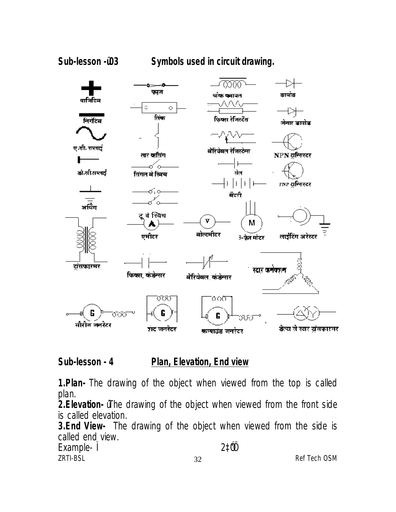Sub-lesson -ü03 **Symbols used in circuit drawing.** 



# **Sub-lesson - 4 Plan, Elevation, End view**

**1.Plan-** The drawing of the object when viewed from the top is called plan.

**2.Elevation-** úThe drawing of the object when viewed from the front side is called elevation.

**3.End View-** The drawing of the object when viewed from the side is called end view. Example- Ì 2‡Ó"Ö

ZRTI-BSL 32 Ref Tech OSM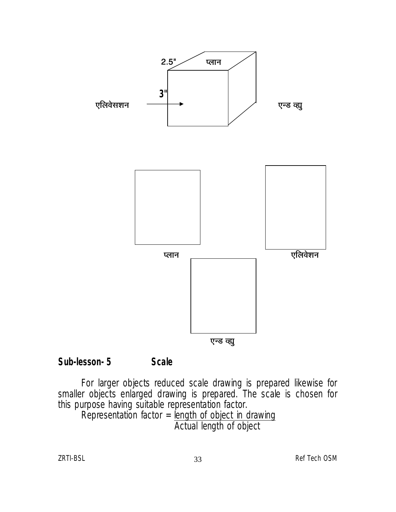

#### **Sub-lesson- 5 Scale**

For larger objects reduced scale drawing is prepared likewise for smaller objects enlarged drawing is prepared. The scale is chosen for this purpose having suitable representation factor.

Representation factor  $=$  length of object in drawing Actual length of object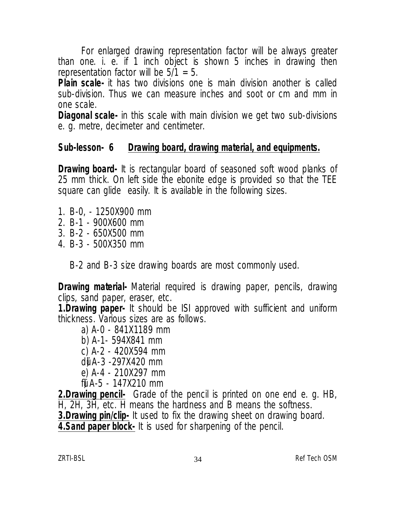For enlarged drawing representation factor will be always greater than one. i. e. if 1 inch object is shown 5 inches in drawing then representation factor will be  $5/1 = 5$ .

**Plain scale-** it has two divisions one is main division another is called sub-division. Thus we can measure inches and soot or cm and mm in one scale.

**Diagonal scale-** in this scale with main division we get two sub-divisions e. g. metre, decimeter and centimeter.

#### **Sub-lesson- 6 Drawing board, drawing material, and equipments.**

**Drawing board-** It is rectangular board of seasoned soft wood planks of 25 mm thick. On left side the ebonite edge is provided so that the TEE square can glide easily. It is available in the following sizes.

- 1. B-0, 1250X900 mm
- 2. B-1 900X600 mm
- 3. B-2 650X500 mm
- 4. B-3 500X350 mm

B-2 and B-3 size drawing boards are most commonly used.

**Drawing material-** Material required is drawing paper, pencils, drawing clips, sand paper, eraser, etc.

**1.Drawing paper-** It should be ISI approved with sufficient and uniform thickness. Various sizes are as follows.

- a) A-0 841X1189 mm
- b) A-1- 594X841 mm
- c) A-2 420X594 mm
- dü) A-3 -297X420 mm
- e) A-4 210X297 mm
- fül A-5 147X210 mm

**2.Drawing pencil-** Grade of the pencil is printed on one end e. g. HB, H, 2H, 3H, etc. H means the hardness and B means the softness.

**3.Drawing pin/clip-** It used to fix the drawing sheet on drawing board.

**4.Sand paper block-** It is used for sharpening of the pencil.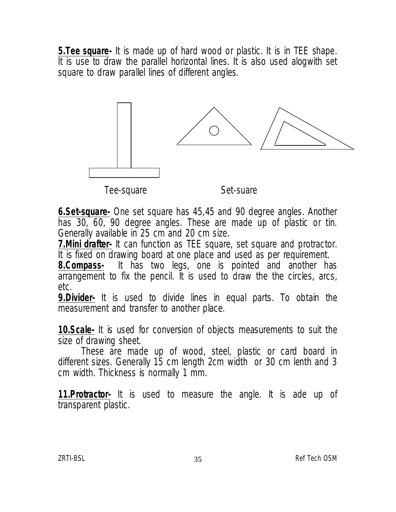**5.Tee square-** It is made up of hard wood or plastic. It is in TEE shape. It is use to draw the parallel horizontal lines. It is also used alogwith set square to draw parallel lines of different angles.



**6.Set-square-** One set square has 45,45 and 90 degree angles. Another has 30, 60, 90 degree angles. These are made up of plastic or tin. Generally available in 25 cm and 20 cm size.

**7. Mini drafter-** It can function as TEE square, set square and protractor. It is fixed on drawing board at one place and used as per requirement.

**8.Compass-** It has two legs, one is pointed and another has arrangement to fix the pencil. It is used to draw the the circles, arcs, etc.

**9.Divider-** It is used to divide lines in equal parts. To obtain the measurement and transfer to another place.

**10.Scale-** It is used for conversion of objects measurements to suit the size of drawing sheet.

These are made up of wood, steel, plastic or card board in different sizes. Generally 15 cm length 2cm width or 30 cm lenth and 3 cm width. Thickness is normally 1 mm.

**11.Protractor-** It is used to measure the angle. It is ade up of transparent plastic.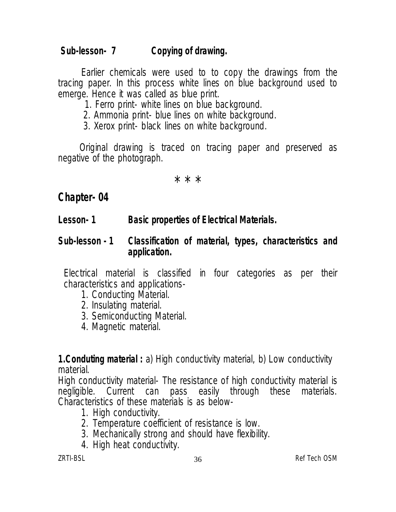# **Sub-lesson- 7 Copying of drawing.**

Earlier chemicals were used to to copy the drawings from the tracing paper. In this process white lines on blue background used to emerge. Hence it was called as blue print.

1. Ferro print- white lines on blue background.

2. Ammonia print- blue lines on white background.

3. Xerox print- black lines on white background.

Original drawing is traced on tracing paper and preserved as negative of the photograph.

\* \* \*

# **Chapter- 04**

**Lesson- 1 Basic properties of Electrical Materials.**

#### **Sub-lesson - 1 Classification of material, types, characteristics and application.**

Electrical material is classified in four categories as per their characteristics and applications-

- 1. Conducting Material.
- 2. Insulating material.
- 3. Semiconducting Material.
- 4. Magnetic material.

**1.Conduting material :** a) High conductivity material, b) Low conductivity material.

High conductivity material- The resistance of high conductivity material is negligible. Current can pass easily through these materials. Characteristics of these materials is as below-

- 1. High conductivity.
- 2. Temperature coefficient of resistance is low.
- 3. Mechanically strong and should have flexibility.
- 4. High heat conductivity.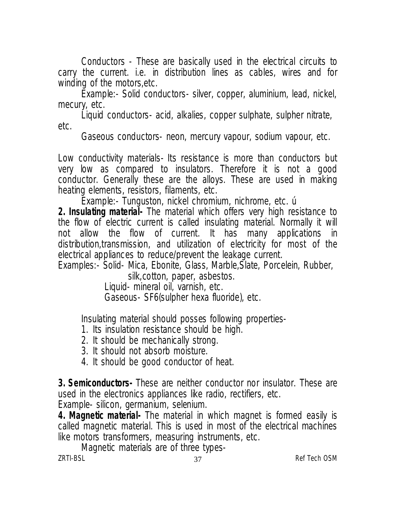Conductors - These are basically used in the electrical circuits to carry the current. i.e. in distribution lines as cables, wires and for winding of the motors,etc.

Example:- Solid conductors- silver, copper, aluminium, lead, nickel, mecury, etc.

Liquid conductors- acid, alkalies, copper sulphate, sulpher nitrate, etc.

Gaseous conductors- neon, mercury vapour, sodium vapour, etc.

Low conductivity materials- Its resistance is more than conductors but very low as compared to insulators. Therefore it is not a good conductor. Generally these are the alloys. These are used in making heating elements, resistors, filaments, etc.

Example:- Tunguston, nickel chromium, nichrome, etc. ú

**2. Insulating material-** The material which offers very high resistance to the flow of electric current is called insulating material. Normally it will not allow the flow of current. It has many applications in distribution,transmission, and utilization of electricity for most of the electrical appliances to reduce/prevent the leakage current.

Examples:- Solid- Mica, Ebonite, Glass, Marble,Slate, Porcelein, Rubber,

silk,cotton, paper, asbestos.

Liquid- mineral oil, varnish, etc.

Gaseous- SF6(sulpher hexa fluoride), etc.

Insulating material should posses following properties-

- 1. Its insulation resistance should be high.
- 2. It should be mechanically strong.
- 3. It should not absorb moisture.
- 4. It should be good conductor of heat.

**3. Semiconductors-** These are neither conductor nor insulator. These are used in the electronics appliances like radio, rectifiers, etc.

Example- silicon, germanium, selenium.

**4. Magnetic material-** The material in which magnet is formed easily is called magnetic material. This is used in most of the electrical machines like motors transformers, measuring instruments, etc.

zrTI-BSL 37 Ref Tech OSM Magnetic materials are of three types-<br> $7RT1-BSI$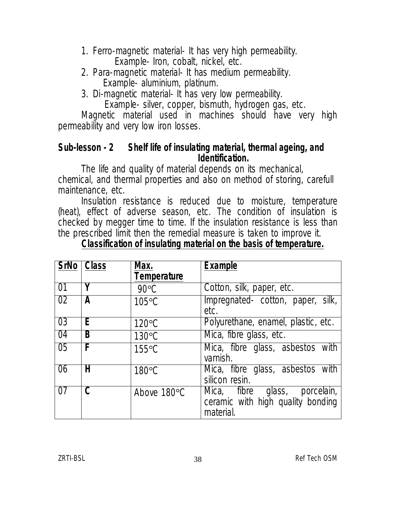- 1. Ferro-magnetic material- It has very high permeability. Example- Iron, cobalt, nickel, etc.
- 2. Para-magnetic material- It has medium permeability. Example- aluminium, platinum.
- 3. Di-magnetic material- It has very low permeability.

Example- silver, copper, bismuth, hydrogen gas, etc.

Magnetic material used in machines should have very high permeability and very low iron losses.

#### **Sub-lesson - 2 Shelf life of insulating material, thermal ageing, and Identification.**

The life and quality of material depends on its mechanical, chemical, and thermal properties and also on method of storing, carefull maintenance, etc.

Insulation resistance is reduced due to moisture, temperature (heat), effect of adverse season, etc. The condition of insulation is checked by megger time to time. If the insulation resistance is less than the prescribed limit then the remedial measure is taken to improve it.

| <b>SrNo</b>     | <b>Class</b>            | Max.               | <b>Example</b>                                                                     |
|-----------------|-------------------------|--------------------|------------------------------------------------------------------------------------|
|                 |                         | <b>Temperature</b> |                                                                                    |
| 01              | Y                       | $90^{\circ}$ C     | Cotton, silk, paper, etc.                                                          |
| 02              | A                       | $105^{\circ}$ C    | Impregnated-cotton, paper, silk,<br>etc.                                           |
| 0 <sub>3</sub>  | E.                      | $120^{\circ}$ C    | Polyurethane, enamel, plastic, etc.                                                |
| 04              | B                       | $130^{\circ}$ C    | Mica, fibre glass, etc.                                                            |
| $\overline{05}$ | F                       | $155^{\circ}$ C    | Mica, fibre glass, asbestos with<br>varnish.                                       |
| 06              | Н                       | $180^{\circ}$ C    | Mica, fibre glass, asbestos with<br>silicon resin.                                 |
| 07              | $\overline{\mathsf{C}}$ | Above 180°C        | Mica, fibre glass,<br>porcelain,<br>ceramic with high quality bonding<br>material. |

# **Classification of insulating material on the basis of temperature.**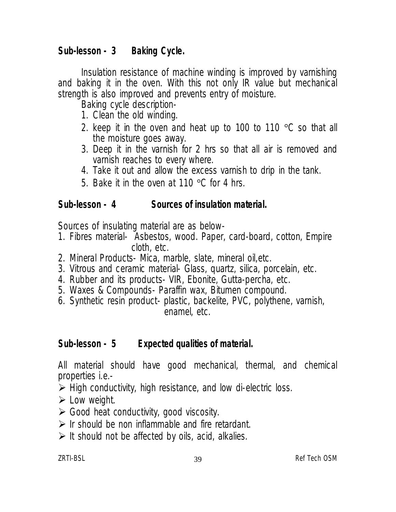# **Sub-lesson - 3 Baking Cycle.**

Insulation resistance of machine winding is improved by varnishing and baking it in the oven. With this not only IR value but mechanical strength is also improved and prevents entry of moisture.

Baking cycle description-

- 1. Clean the old winding.
- 2. keep it in the oven and heat up to 100 to 110  $\degree$ C so that all the moisture goes away.
- 3. Deep it in the varnish for 2 hrs so that all air is removed and varnish reaches to every where.
- 4. Take it out and allow the excess varnish to drip in the tank.
- 5. Bake it in the oven at 110  $\degree$ C for 4 hrs.

## **Sub-lesson - 4 Sources of insulation material.**

Sources of insulating material are as below-

- 1. Fibres material- Asbestos, wood. Paper, card-board, cotton, Empire cloth, etc.
- 2. Mineral Products- Mica, marble, slate, mineral oil,etc.
- 3. Vitrous and ceramic material- Glass, quartz, silica, porcelain, etc.
- 4. Rubber and its products- VIR, Ebonite, Gutta-percha, etc.
- 5. Waxes & Compounds- Paraffin wax, Bitumen compound.
- 6. Synthetic resin product- plastic, backelite, PVC, polythene, varnish, enamel, etc.

# **Sub-lesson - 5 Expected qualities of material.**

All material should have good mechanical, thermal, and chemical properties i.e.-

- $\triangleright$  High conductivity, high resistance, and low di-electric loss.
- $\triangleright$  Low weight.
- $\triangleright$  Good heat conductivity, good viscosity.
- $\triangleright$  Ir should be non inflammable and fire retardant.
- $\triangleright$  It should not be affected by oils, acid, alkalies.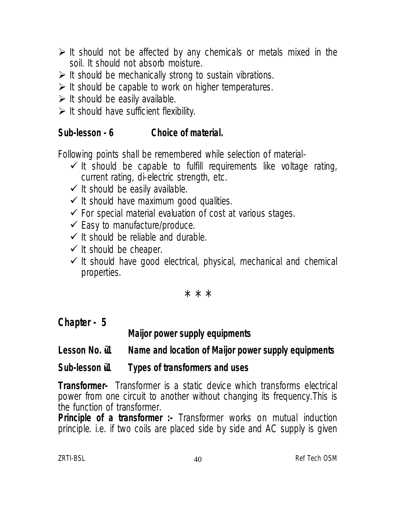- $\triangleright$  It should not be affected by any chemicals or metals mixed in the soil. It should not absorb moisture.
- $\triangleright$  It should be mechanically strong to sustain vibrations.
- $\triangleright$  It should be capable to work on higher temperatures.
- $\triangleright$  It should be easily available.
- $\triangleright$  It should have sufficient flexibility.

# **Sub-lesson - 6 Choice of material.**

Following points shall be remembered while selection of material-

- $\checkmark$  It should be capable to fulfill requirements like voltage rating, current rating, di-electric strength, etc.
- $\checkmark$  It should be easily available.
- $\checkmark$  It should have maximum good qualities.
- $\checkmark$  For special material evaluation of cost at various stages.
- $\checkmark$  Easy to manufacture/produce.
- $\checkmark$  It should be reliable and durable.
- $\checkmark$  It should be cheaper.
- $\checkmark$  It should have good electrical, physical, mechanical and chemical properties.

\* \* \*

**Chapter - 5**

**Maijor power supply equipments**

## Lesson No.  $i1$  Name and location of Maijor power supply equipments

# Sub-lesson  $i1$  Types of transformers and uses

**Transformer-** Transformer is a static device which transforms electrical power from one circuit to another without changing its frequency.This is the function of transformer.

**Principle of a transformer :-** Transformer works on mutual induction principle. i.e. if two coils are placed side by side and AC supply is given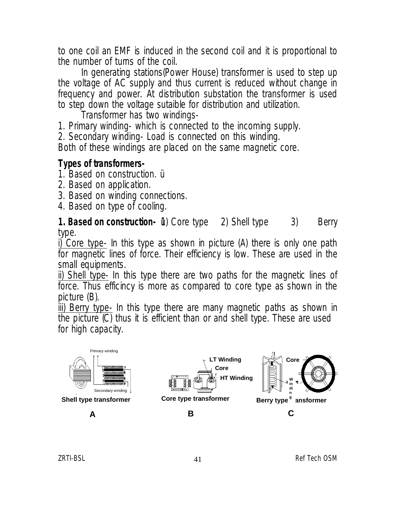to one coil an EMF is induced in the second coil and it is proportional to the number of turns of the coil.

In generating stations(Power House) transformer is used to step up the voltage of AC supply and thus current is reduced without change in frequency and power. At distribution substation the transformer is used to step down the voltage sutaible for distribution and utilization.

Transformer has two windings-

1. Primary winding- which is connected to the incoming supply.

2. Secondary winding- Load is connected on this winding.

Both of these windings are placed on the same magnetic core.

### **Types of transformers-**

1. Based on construction. ü

- 2. Based on application.
- 3. Based on winding connections.
- 4. Based on type of cooling.

**1. Based on construction- ii**) Core type 2) Shell type 3) Berry type.

i) Core type- In this type as shown in picture (A) there is only one path for magnetic lines of force. Their efficiency is low. These are used in the small equipments.

ii) Shell type- In this type there are two paths for the magnetic lines of force. Thus efficincy is more as compared to core type as shown in the picture (B).

iii) Berry type- In this type there are many magnetic paths as shown in the picture (C) thus it is efficient than or and shell type. These are used for high capacity.

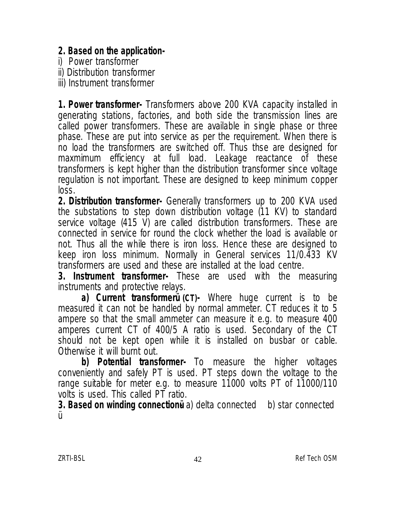### **2. Based on the application-**

i) Power transformer

ii) Distribution transformer

iii) Instrument transformer

**1. Power transformer-** Transformers above 200 KVA capacity installed in generating stations, factories, and both side the transmission lines are called power transformers. These are available in single phase or three phase. These are put into service as per the requirement. When there is no load the transformers are switched off. Thus thse are designed for maxmimum efficiency at full load. Leakage reactance of these transformers is kept higher than the distribution transformer since voltage regulation is not important. These are designed to keep minimum copper loss.

**2. Distribution transformer-** Generally transformers up to 200 KVA used the substations to step down distribution voltage (11 KV) to standard service voltage (415 V) are called distribution transformers. These are connected in service for round the clock whether the load is available or not. Thus all the while there is iron loss. Hence these are designed to keep iron loss minimum. Normally in General services 11/0.433 KV transformers are used and these are installed at the load centre.

**3. Instrument transformer-** These are used with the measuring instruments and protective relays.

**a) Current transformerü (CT)-** Where huge current is to be measured it can not be handled by normal ammeter. CT reduces it to 5 ampere so that the small ammeter can measure it e.g. to measure 400 amperes current CT of 400/5 A ratio is used. Secondary of the CT should not be kept open while it is installed on busbar or cable. Otherwise it will burnt out.

**b) Potential transformer-** To measure the higher voltages conveniently and safely PT is used. PT steps down the voltage to the range suitable for meter e.g. to measure 11000 volts PT of 11000/110 volts is used. This called PT ratio.

**3. Based on winding connectionually** a) delta connected b) star connected Ü. ü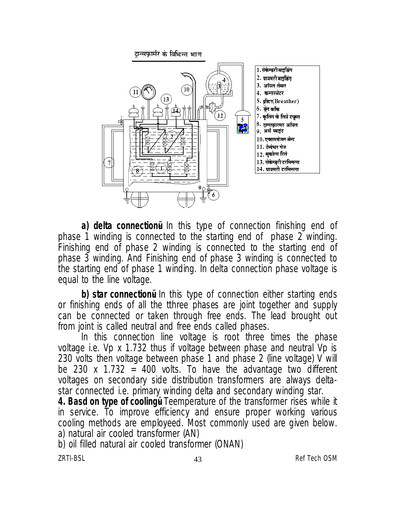

**a) delta connectionu** In this type of connection finishing end of phase 1 winding is connected to the starting end of phase 2 winding. Finishing end of phase 2 winding is connected to the starting end of phase 3 winding. And Finishing end of phase 3 winding is connected to the starting end of phase 1 winding. In delta connection phase voltage is equal to the line voltage.

**b) star connectionua** In this type of connection either starting ends or finishing ends of all the tthree phases are joint together and supply can be connected or taken through free ends. The lead brought out from joint is called neutral and free ends called phases.

In this connection line voltage is root three times the phase voltage i.e. Vp x 1.732 thus if voltage between phase and neutral Vp is 230 volts then voltage between phase 1 and phase 2 (line voltage) V will be 230 x 1.732 = 400 volts. To have the advantage two different voltages on secondary side distribution transformers are always deltastar connected i.e. primary winding delta and secondary winding star.

**4. Basd on type of coolingu** Teemperature of the transformer rises while it in service. To improve efficiency and ensure proper working various cooling methods are employeed. Most commonly used are given below. a) natural air cooled transformer (AN)

b) oil filled natural air cooled transformer (ONAN)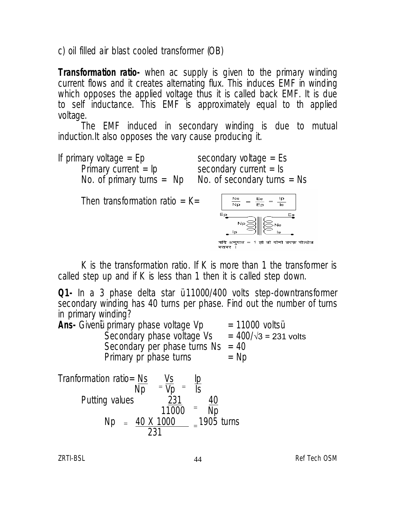c) oil filled air blast cooled transformer (OB)

**Transformation ratio-** when ac supply is given to the primary winding current flows and it creates alternating flux. This induces EMF in winding which opposes the applied voltage thus it is called back EMF. It is due to self inductance. This EMF is approximately equal to th applied voltage.

The EMF induced in secondary winding is due to mutual induction.It also opposes the vary cause producing it.

If primary voltage =  $Ep$  secondary voltage =  $Es$ Primary current = lp secondary current = ls No. of primary turns = Np Ao. of secondary turns = Ns

Then transformation ratio  $=$  K $=$ 



K is the transformation ratio. If K is more than 1 the transformer is called step up and if K is less than 1 then it is called step down.

**Q1-** In a 3 phase delta star ü 11000/400 volts step-downtransformer secondary winding has 40 turns per phase. Find out the number of turns in primary winding?

**Ans-** Given ii primary phase voltage Vp = 11000 voltsu Secondary phase voltage Vs  $= 400/\sqrt{3} = 231$  volts Secondary per phase turns  $Ns = 40$ Primary pr phase turns  $= Np$ 

Tranformation ratio= <u>Ns Vs</u> I<u>p</u>  $Np = Vp = Is$ Putting values and 231 and 40  $11000$  = Np  $Np = 40 \times 1000$   $= 1905$  turns 231  $=\overline{\mathsf{Vn}}$  = =  $=$   $\frac{40 \text{ A} 1000}{0.24}$  =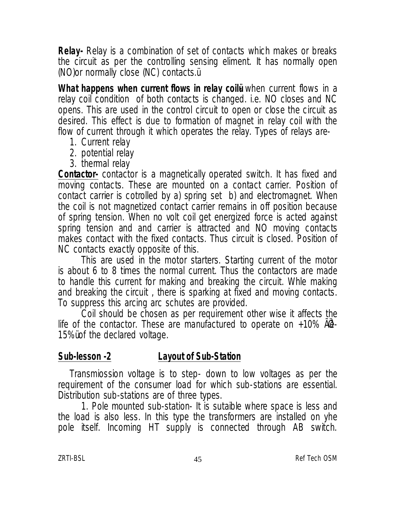**Relay-** Relay is a combination of set of contacts which makes or breaks the circuit as per the controlling sensing eliment. It has normally open (NO)or normally close (NC) contacts.ü

**What happens when current flows in relay coile** when current flows in a relay coil condition of both contacts is changed. i.e. NO closes and NC opens. This are used in the control circuit to open or close the circuit as desired. This effect is due to formation of magnet in relay coil with the flow of current through it which operates the relay. Types of relays are-

- 1. Current relay
- 2. potential relay
- 3. thermal relay

**Contactor-** contactor is a magnetically operated switch. It has fixed and moving contacts. These are mounted on a contact carrier. Position of contact carrier is cotrolled by a) spring set b) and electromagnet. When the coil is not magnetized contact carrier remains in off position because of spring tension. When no volt coil get energized force is acted against spring tension and and carrier is attracted and NO moving contacts makes contact with the fixed contacts. Thus circuit is closed. Position of NC contacts exactly opposite of this.

This are used in the motor starters. Starting current of the motor is about 6 to 8 times the normal current. Thus the contactors are made to handle this current for making and breaking the circuit. Whle making and breaking the circuit , there is sparking at fixed and moving contacts. To suppress this arcing arc schutes are provided.

Coil should be chosen as per requirement other wise it affects the life of the contactor. These are manufactured to operate on  $+10\%$  AC  $-$ 15%ü of the declared voltage.

### **Sub-lesson -2 Layout of Sub-Station**

Transmiossion voltage is to step- down to low voltages as per the requirement of the consumer load for which sub-stations are essential. Distribution sub-stations are of three types.

1. Pole mounted sub-station- It is sutaible where space is less and the load is also less. In this type the transformers are installed on yhe pole itself. Incoming HT supply is connected through AB switch.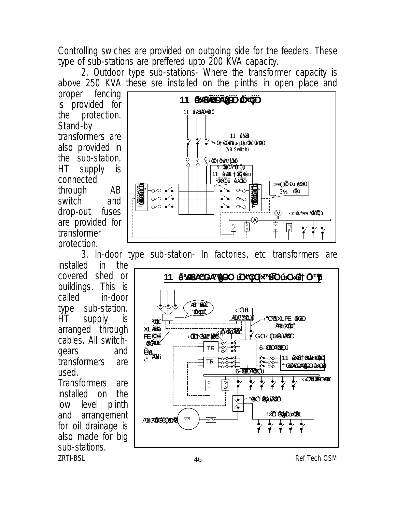Controlling swiches are provided on outgoing side for the feeders. These type of sub-stations are preffered upto 200 KVA capacity.

2. Outdoor type sub-stations- Where the transformer capacity is above 250 KVA these sre installed on the plinths in open place and

proper fencing is provided for the protection. Stand-by transformers are also provided in the sub-station. HT supply is connected through AB switch and drop-out fuses are provided for transformer protection.

installed in the covered shed or buildings. This is called in-door type sub-station. HT supply is arranged through cables. All switchgears and transformers are used.

 $2R$ TI-BSL  $46$   $2R$  Ref Tech OSM Transformers are installed on the low level plinth and arrangement for oil drainage is also made for big sub-stations.



3. In-door type sub-station- In factories, etc transformers are

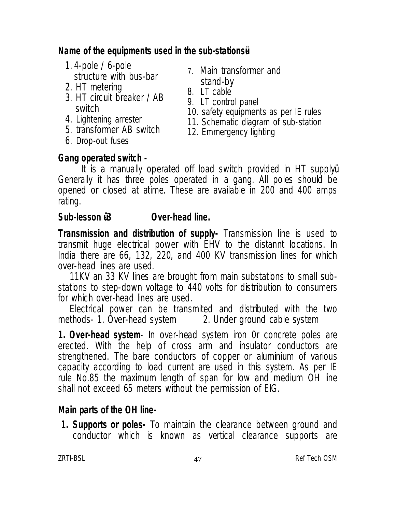## **Name of the equipments used in the sub-stationsü-**

- 1. 4-pole / 6-pole structure with bus-bar
- 2. HT metering
- 3. HT circuit breaker / AB switch
- 4. Lightening arrester
- 5. transformer AB switch
- 6. Drop-out fuses
- 7. Main transformer and stand-by
- 8. LT cable
- 9. LT control panel
- 10. safety equipments as per IE rules
- 11. Schematic diagram of sub-station
- 12. Emmergency lighting

## **Gang operated switch -**

It is a manually operated off load switch provided in HT supplyü. Generally it has three poles operated in a gang. All poles should be opened or closed at atime. These are available in 200 and 400 amps rating.

### **Sub-lesson**  $i3$  **Over-head line.**

**Transmission and distribution of supply-** Transmission line is used to transmit huge electrical power with EHV to the distannt locations. In India there are 66, 132, 220, and 400 KV transmission lines for which over-head lines are used.

11KV an 33 KV lines are brought from main substations to small substations to step-down voltage to 440 volts for distribution to consumers for which over-head lines are used.

Electrical power can be transmited and distributed with the two<br>thods- 1. Over-head system 2. Under ground cable system methods- 1. Over-head system

**1. Over-head system**- In over-head system iron 0r concrete poles are erected. With the help of cross arm and insulator conductors are strengthened. The bare conductors of copper or aluminium of various capacity according to load current are used in this system. As per IE rule No.85 the maximum length of span for low and medium OH line shall not exceed 65 meters without the permission of EIG.

## **Main parts of the OH line-**

**1. Supports or poles-** To maintain the clearance between ground and conductor which is known as vertical clearance supports are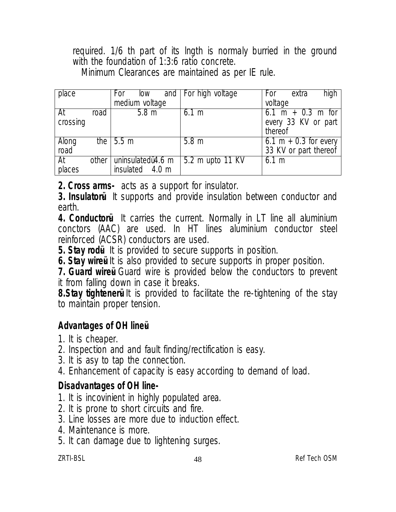required. 1/6 th part of its lngth is normaly burried in the ground with the foundation of 1:3:6 ratio concrete.

Minimum Clearances are maintained as per IE rule.

| place    |         | For<br>low         | and   For high voltage | high<br>For<br>extra                |
|----------|---------|--------------------|------------------------|-------------------------------------|
|          |         | medium voltage     |                        | voltage                             |
| At       | road    | 5.8 <sub>m</sub>   | $6.1 \text{ m}$        | $6.1 \text{ m} + 0.3 \text{ m}$ for |
| crossing |         |                    |                        | every 33 KV or part                 |
|          |         |                    |                        | thereof                             |
| Along    |         | the $\sqrt{5.5}$ m | 5.8 <sub>m</sub>       | 6.1 m + 0.3 for every               |
| road     |         |                    |                        | 33 KV or part thereof               |
| At       | other I | uninsulatedu4.6 m  | 5.2 m upto 11 KV       | $6.1 \text{ m}$                     |
| places   |         | insulated 4.0 m    |                        |                                     |

**2. Cross arms-** acts as a support for insulator.

**3. Insulatoru** It supports and provide insulation between conductor and earth.

**4. Conductori** It carries the current. Normally in LT line all aluminium conctors (AAC) are used. In HT lines aluminium conductor steel reinforced (ACSR) conductors are used.

**5. Stay rodü-** It is provided to secure supports in position.

**6. Stay wire i** It is also provided to secure supports in proper position.

**7. Guard wire i** Guard wire is provided below the conductors to prevent it from falling down in case it breaks.

**8. Stay tighteneru** It is provided to facilitate the re-tightening of the stay to maintain proper tension.

## **Advantages of OH lineü-**

- 1. It is cheaper.
- 2. Inspection and and fault finding/rectification is easy.
- 3. It is asy to tap the connection.
- 4. Enhancement of capacity is easy according to demand of load.

### **Disadvantages of OH line-**

- 1. It is incovinient in highly populated area.
- 2. It is prone to short circuits and fire.
- 3. Line losses are more due to induction effect.
- 4. Maintenance is more.
- 5. It can damage due to lightening surges.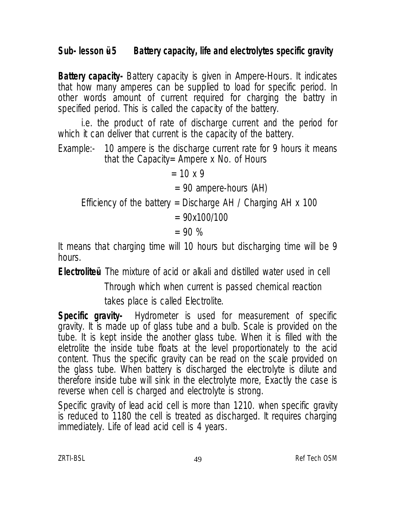## **Sub- lesson ü- 5 Battery capacity, life and electrolytes specific gravity**

**Battery capacity-** Battery capacity is given in Ampere-Hours. It indicates that how many amperes can be supplied to load for specific period. In other words amount of current required for charging the battry in specified period. This is called the capacity of the battery.

i.e. the product of rate of discharge current and the period for which it can deliver that current is the capacity of the battery.

Example:- 10 ampere is the discharge current rate for 9 hours it means that the Capacity= Ampere x No. of Hours

 $= 10 \times 9$ = 90 ampere-hours (AH) Efficiency of the battery = Discharge AH / Charging AH  $x$  100  $= 90x100/100$  $= 90 %$ 

It means that charging time will 10 hours but discharging time will be 9 hours.

**Electroliteü-** The mixture of acid or alkali and distilled water used in cell

 Through which when current is passed chemical reaction takes place is called Electrolite.

**Specific gravity-** Hydrometer is used for measurement of specific gravity. It is made up of glass tube and a bulb. Scale is provided on the tube. It is kept inside the another glass tube. When it is filled with the eletrolite the inside tube floats at the level proportionately to the acid content. Thus the specific gravity can be read on the scale provided on the glass tube. When battery is discharged the electrolyte is dilute and therefore inside tube will sink in the electrolyte more, Exactly the case is reverse when cell is charged and electrolyte is strong.

Specific gravity of lead acid cell is more than 1210. when specific gravity is reduced to 1180 the cell is treated as discharged. It requires charging immediately. Life of lead acid cell is 4 years.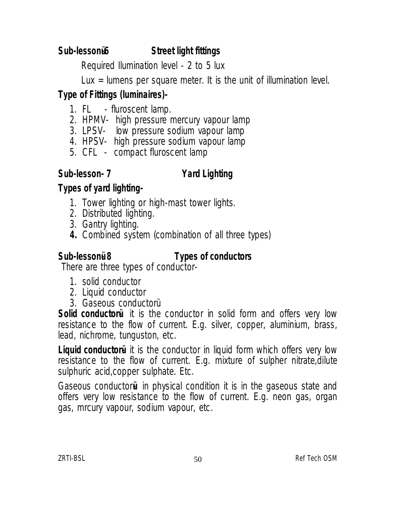# Sub-lessonü6 **Street light fittings**

Required Ilumination level - 2 to 5 lux

Lux = lumens per square meter. It is the unit of illumination level.

# **Type of Fittings (luminaires)-**

- 1. FL fluroscent lamp.
- 2. HPMV- high pressure mercury vapour lamp
- 3. LPSV- low pressure sodium vapour lamp
- 4. HPSV- high pressure sodium vapour lamp
- 5. CFL compact fluroscent lamp

## **Sub-lesson- 7 Yard Lighting**

# **Types of yard lighting-**

- 1. Tower lighting or high-mast tower lights.
- 2. Distributed lighting.
- 3. Gantry lighting.
- **4.** Combined system (combination of all three types)

### Sub-lessonü<sup>8</sup> Types of conductors

There are three types of conductor-

- 1. solid conductor
- 2. Liquid conductor
- 3. Gaseous conductorü

Solid conductoru it is the conductor in solid form and offers very low resistance to the flow of current. E.g. silver, copper, aluminium, brass, lead, nichrome, tunguston, etc.

**Liquid conductori** it is the conductor in liquid form which offers very low resistance to the flow of current. E.g. mixture of sulpher nitrate,dilute sulphuric acid,copper sulphate. Etc.

Gaseous conductor**ü-** in physical condition it is in the gaseous state and offers very low resistance to the flow of current. E.g. neon gas, organ gas, mrcury vapour, sodium vapour, etc.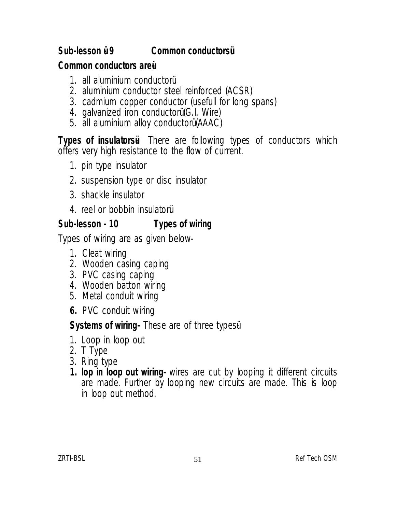# **Sub-lesson ü- 9 Common conductorsü**

### **Common conductors areü-**

- 1. all aluminium conductorü
- 2. aluminium conductor steel reinforced (ACSR)
- 3. cadmium copper conductor (usefull for long spans)
- 4. galvanized iron conductorü (G.I. Wire)
- 5. all aluminium alloy conductorü (AAAC)

**Types of insulators i** There are following types of conductors which offers very high resistance to the flow of current.

- 1. pin type insulator
- 2. suspension type or disc insulator
- 3. shackle insulator
- 4. reel or bobbin insulatorü

# **Sub-lesson - 10 Types of wiring**

Types of wiring are as given below-

- 1. Cleat wiring
- 2. Wooden casing caping
- 3. PVC casing caping
- 4. Wooden batton wiring
- 5. Metal conduit wiring
- **6.** PVC conduit wiring

## **Systems of wiring-** These are of three typesü-

- 1. Loop in loop out
- 2. T Type
- 3. Ring type
- **1. lop in loop out wiring-** wires are cut by looping it different circuits are made. Further by looping new circuits are made. This is loop in loop out method.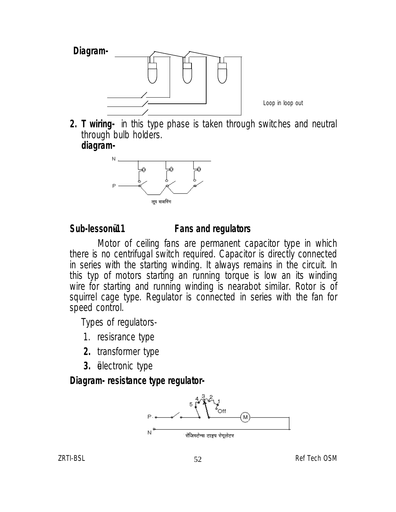

Loop in loop out

**2. T wiring-** in this type phase is taken through switches and neutral through bulb holders. **diagram-**



#### **Sub-lessonü-11 Fans and regulators**

 Motor of ceiling fans are permanent capacitor type in which there is no centrifugal switch required. Capacitor is directly connected in series with the starting winding. It always remains in the circuit. In this typ of motors starting an running torque is low an its winding wire for starting and running winding is nearabot similar. Rotor is of squirrel cage type. Regulator is connected in series with the fan for speed control.

Types of regulators-

- 1. resisrance type
- **2.** transformer type
- **3.** üelectronic type

### **Diagram- resistance type regulator-**

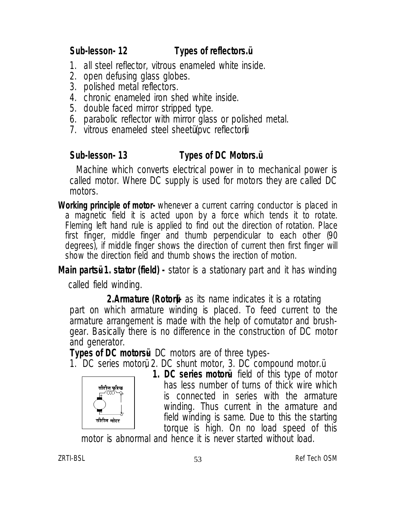# **Sub-lesson- 12 Types of reflectors.ü**

- 1. all steel reflector, vitrous enameled white inside.
- 2. open defusing glass globes.
- 3. polished metal reflectors.
- 4. chronic enameled iron shed white inside.
- 5. double faced mirror stripped type.
- 6. parabolic reflector with mirror glass or polished metal.
- 7. vitrous enameled steel sheetü (pvc reflectorü)

# **Sub-lesson- 13 Types of DC Motors.ü**

 Machine which converts electrical power in to mechanical power is called motor. Where DC supply is used for motors they are called DC motors.

**Working principle of motor-** whenever a current carring conductor is placed in a magnetic field it is acted upon by a force which tends it to rotate. Fleming left hand rule is applied to find out the direction of rotation. Place first finger, middle finger and thumb perpendicular to each other (90 degrees), if middle finger shows the direction of current then first finger will show the direction field and thumb shows the irection of motion.

**Main partsu 1. stator (field) -** stator is a stationary part and it has winding

called field winding.

**2.Armature (Rotori-** as its name indicates it is a rotating part on which armature winding is placed. To feed current to the armature arrangement is made with the help of comutator and brushgear. Basically there is no difference in the construction of DC motor and generator.

**Types of DC motorsu** DC motors are of three types-

1. DC series motorü, 2. DC shunt motor, 3. DC compound motor.ü



**1. DC series motorü-** field of this type of motor has less number of turns of thick wire which is connected in series with the armature winding. Thus current in the armature and field winding is same. Due to this the starting torque is high. On no load speed of this

motor is abnormal and hence it is never started without load.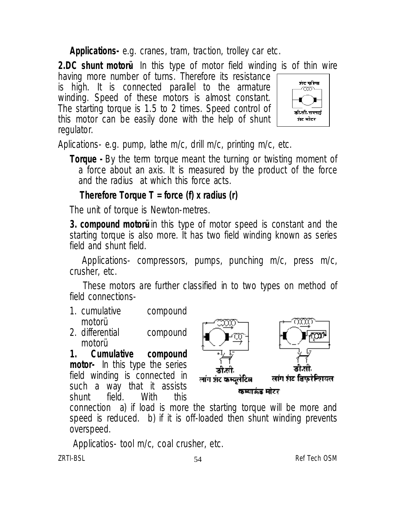**Applications-** e.g. cranes, tram, traction, trolley car etc.

**2.DC shunt motoru** In this type of motor field winding is of thin wire

having more number of turns. Therefore its resistance is high. It is connected parallel to the armature winding. Speed of these motors is almost constant. The starting torque is 1.5 to 2 times. Speed control of this motor can be easily done with the help of shunt regulator.



Aplications- e.g. pump, lathe m/c, drill m/c, printing m/c, etc.

**Torque -** By the term torque meant the turning or twisting moment of a force about an axis. It is measured by the product of the force and the radius at which this force acts.

 **Therefore Torque T = force (f) x radius (r)**

The unit of torque is Newton-metres.

**3. compound motoru** in this type of motor speed is constant and the starting torque is also more. It has two field winding known as series field and shunt field.

Applications- compressors, pumps, punching m/c, press m/c, crusher, etc.

 These motors are further classified in to two types on method of field connections-

- 1. cumulative compound motorü
- 2. differential compound motorü<br>Cumulative

**1. Cumulative compound motor-** In this type the series field winding is connected in such a way that it assists shunt field. With this



connection a) if load is more the starting torque will be more and speed is reduced. b) if it is off-loaded then shunt winding prevents overspeed.

ZRTI-BSL and the state of the state of the state of the state of the state of the state of the state of the state of the state of the state of the state of the state of the state of the state of the state of the state of t Applicatios- tool m/c, coal crusher, etc.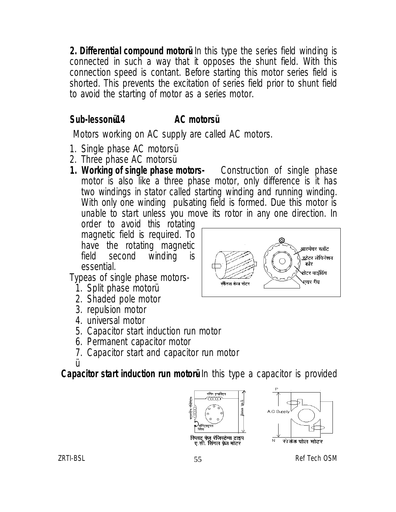**2. Differential compound motoru** In this type the series field winding is connected in such a way that it opposes the shunt field. With this connection speed is contant. Before starting this motor series field is shorted. This prevents the excitation of series field prior to shunt field to avoid the starting of motor as a series motor.

# **Sub-lessonü-14 AC motorsü**

Motors working on AC supply are called AC motors.

- 1. Single phase AC motorsü
- 2. Three phase AC motorsü
- **1. Working of single phase motors-** Construction of single phase motor is also like a three phase motor, only difference is it has two windings in stator called starting winding and running winding. With only one winding pulsating field is formed. Due this motor is unable to start unless you move its rotor in any one direction. In

order to avoid this rotating magnetic field is required. To have the rotating magnetic<br>field second winding is winding is essential.

Typeas of single phase motors-

- 1. Split phase motorü
- 2. Shaded pole motor
- 3. repulsion motor
- 4. universal motor
- 5. Capacitor start induction run motor
- 6. Permanent capacitor motor
- 7. Capacitor start and capacitor run motor

ü **Capacitor start induction run motoru** In this type a capacitor is provided





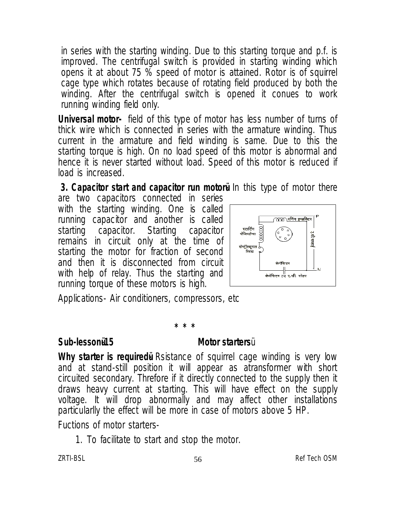in series with the starting winding. Due to this starting torque and p.f. is improved. The centrifugal switch is provided in starting winding which opens it at about 75 % speed of motor is attained. Rotor is of squirrel cage type which rotates because of rotating field produced by both the winding. After the centrifugal switch is opened it conues to work running winding field only.

**Universal motor-** field of this type of motor has less number of turns of thick wire which is connected in series with the armature winding. Thus current in the armature and field winding is same. Due to this the starting torque is high. On no load speed of this motor is abnormal and hence it is never started without load. Speed of this motor is reduced if load is increased.

**3. Capacitor start and capacitor run motorul in this type of motor there** 

are two capacitors connected in series with the starting winding. One is called running capacitor and another is called starting capacitor. Starting remains in circuit only at the time of starting the motor for fraction of second and then it is disconnected from circuit with help of relay. Thus the starting and running torque of these motors is high.



Applications- Air conditioners, compressors, etc

# **\* \* \***

#### **Sub-lessonü-15 Motor starters**ü

**Why starter is required i** Rsistance of squirrel cage winding is very low and at stand-still position it will appear as atransformer with short circuited secondary. Threfore if it directly connected to the supply then it draws heavy current at starting. This will have effect on the supply voltage. It will drop abnormally and may affect other installations particularlly the effect will be more in case of motors above 5 HP.

Fuctions of motor starters-

1. To facilitate to start and stop the motor.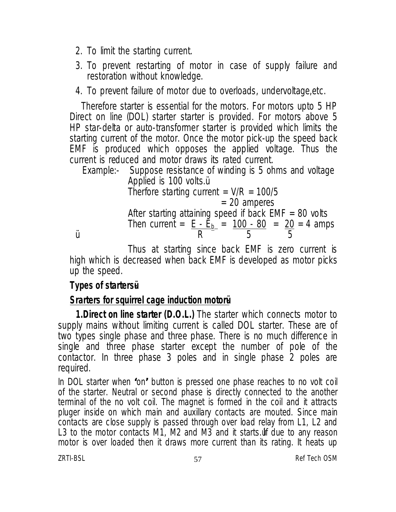- 2. To limit the starting current.
- 3. To prevent restarting of motor in case of supply failure and restoration without knowledge.
- 4. To prevent failure of motor due to overloads, undervoltage,etc.

Therefore starter is essential for the motors. For motors upto 5 HP Direct on line (DOL) starter starter is provided. For motors above 5 HP star-delta or auto-transformer starter is provided which limits the starting current of the motor. Once the motor pick-up the speed back EMF is produced which opposes the applied voltage. Thus the current is reduced and motor draws its rated current.

Example:- Suppose resistance of winding is 5 ohms and voltage Applied is 100 volts.ü Therfore starting current =  $V/R = 100/5$ = 20 amperes After starting attaining speed if back  $EMF = 80$  volts Then current =  $E - E_b$  =  $\frac{100 - 80}{50}$  =  $\frac{20}{50}$  = 4 amps  $\mu$  R 5 5

Thus at starting since back EMF is zero current is high which is decreased when back EMF is developed as motor picks up the speed.

#### **Types of startersü-**

### **Srarters for squirrel cage induction motorü-**

**1.Direct on line starter (D.O.L.)** The starter which connects motor to supply mains without limiting current is called DOL starter. These are of two types single phase and three phase. There is no much difference in single and three phase starter except the number of pole of the contactor. In three phase 3 poles and in single phase 2 poles are required.

In DOL starter when **'**on**'** button is pressed one phase reaches to no volt coil of the starter. Neutral or second phase is directly connected to the another terminal of the no volt coil. The magnet is formed in the coil and it attracts pluger inside on which main and auxillary contacts are mouted. Since main contacts are close supply is passed through over load relay from L1, L2 and L3 to the motor contacts M1, M2 and M3 and it starts.ulf due to any reason motor is over loaded then it draws more current than its rating. It heats up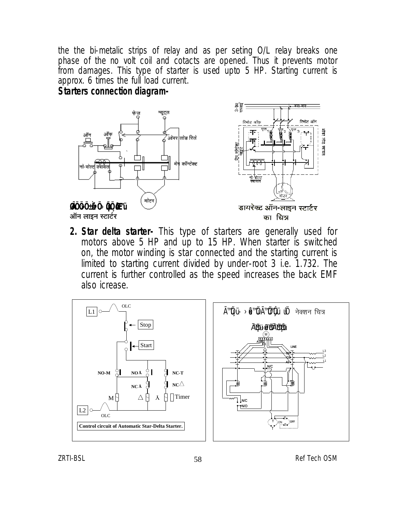the the bi-metalic strips of relay and as per seting O/L relay breaks one phase of the no volt coil and cotacts are opened. Thus it prevents motor from damages. This type of starter is used upto 5 HP. Starting current is approx. 6 times the full load current.

#### **Starters connection diagram-**



**2. Star delta starter-** This type of starters are generally used for motors above 5 HP and up to 15 HP. When starter is switched on, the motor winding is star connected and the starting current is limited to starting current divided by under-root 3 i.e. 1.732. The current is further controlled as the speed increases the back EMF also icrease.

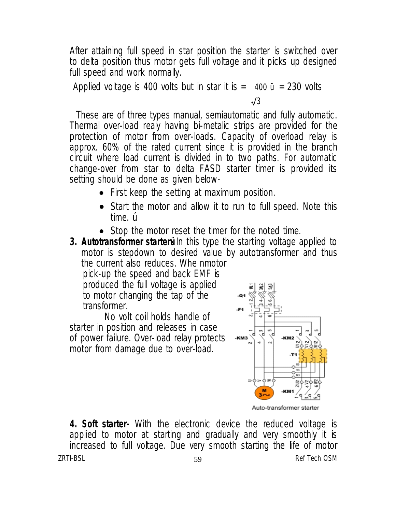After attaining full speed in star position the starter is switched over to delta position thus motor gets full voltage and it picks up designed full speed and work normally.

Applied voltage is 400 volts but in star it is  $=$  400  $\mu$  = 230 volts √3

 These are of three types manual, semiautomatic and fully automatic. Thermal over-load realy having bi-metalic strips are provided for the protection of motor from over-loads. Capacity of overload relay is approx. 60% of the rated current since it is provided in the branch circuit where load current is divided in to two paths. For automatic change-over from star to delta FASD starter timer is provided its setting should be done as given below-

- First keep the setting at maximum position.
- Start the motor and allow it to run to full speed. Note this time. ú
- Stop the motor reset the timer for the noted time.
- **3. Autotransformer starter i** In this type the starting voltage applied to motor is stepdown to desired value by autotransformer and thus the current also reduces. Whe nmotor pick-up the speed and back EMF is

 produced the full voltage is applied to motor changing the tap of the transformer.

No volt coil holds handle of starter in position and releases in case of power failure. Over-load relay protects motor from damage due to over-load.



Auto-transformer starter

ZRTI-BSL 59 Ref Tech OSM **4. Soft starter-** With the electronic device the reduced voltage is applied to motor at starting and gradually and very smoothly it is increased to full voltage. Due very smooth starting the life of motor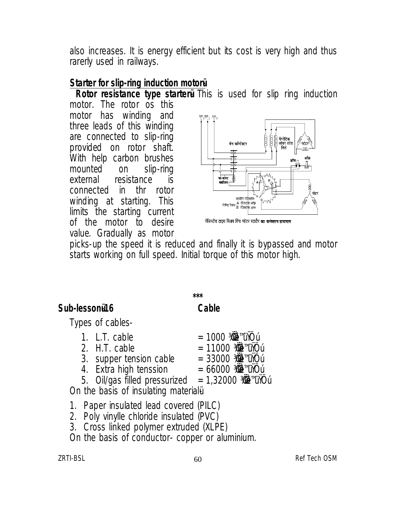also increases. It is energy efficient but its cost is very high and thus rarerly used in railways.

#### **Starter for slip-ring induction motorü-**

**Rotor resistance type starter This is used for slip ring induction** 

motor. The rotor os this motor has winding and three leads of this winding are connected to slip-ring provided on rotor shaft. With help carbon brushes mounted on slip-ring external resistance is connected in thr rotor winding at starting. This limits the starting current of the motor to desire value. Gradually as motor



रेजिस्टेंस टाइप स्लिप रिंग मोटर स्टार्टर <mark>का कनेक्शन डायाग्राम</mark>

picks-up the speed it is reduced and finally it is bypassed and motor starts working on full speed. Initial torque of this motor high.

### **Sub-lessonü-16 Cable**

**\*\*\***

Types of cables-

| 1. L.T. cable                 | $= 1000300$                                                    |
|-------------------------------|----------------------------------------------------------------|
| 2. H.T. cable                 | $= 11000$ 300 $\frac{3000}{200}$ 300 min $\frac{1}{2}$ 10      |
| 3. supper tension cable       | $= 33000$ 300 $\frac{3000}{2000}$ 300 min $\frac{1}{2}$ 10 min |
| 4. Extra high tenssion        | $= 66000$ 300 $\frac{3000}{2000}$ 300 minutes                  |
| 5. Oil/gas filled pressurized | $= 1,32000$ 300 $\frac{3000}{200}$ 300 $\frac{1}{2}$ 10        |

On the basis of insulating material u

- 1. Paper insulated lead covered (PILC)
- 2. Poly vinylle chloride insulated (PVC)
- 3. Cross linked polymer extruded (XLPE)

On the basis of conductor- copper or aluminium.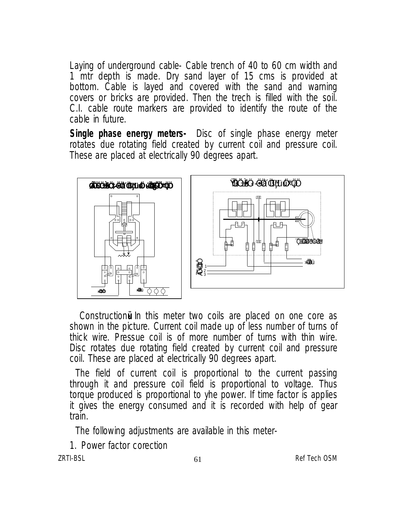Laying of underground cable- Cable trench of 40 to 60 cm width and 1 mtr depth is made. Dry sand layer of 15 cms is provided at bottom. Cable is layed and covered with the sand and warning covers or bricks are provided. Then the trech is filled with the soil. C.I. cable route markers are provided to identify the route of the cable in future.

**Single phase energy meters-** Disc of single phase energy meter rotates due rotating field created by current coil and pressure coil. These are placed at electrically 90 degrees apart.



Construction in this meter two coils are placed on one core as shown in the picture. Current coil made up of less number of turns of thick wire. Pressue coil is of more number of turns with thin wire. Disc rotates due rotating field created by current coil and pressure coil. These are placed at electrically 90 degrees apart.

The field of current coil is proportional to the current passing through it and pressure coil field is proportional to voltage. Thus torque produced is proportional to yhe power. If time factor is applies it gives the energy consumed and it is recorded with help of gear train.

The following adjustments are available in this meter-

1. Power factor corection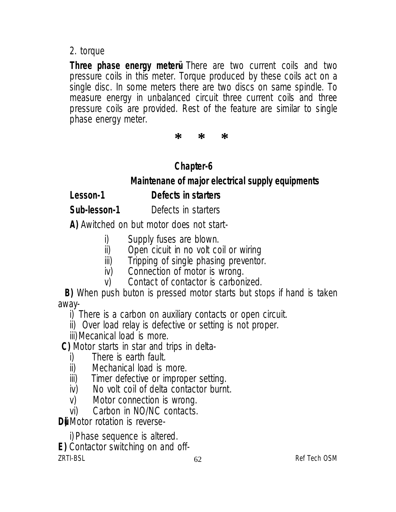### 2. torque

Three phase energy meteru There are two current coils and two pressure coils in this meter. Torque produced by these coils act on a single disc. In some meters there are two discs on same spindle. To measure energy in unbalanced circuit three current coils and three pressure coils are provided. Rest of the feature are similar to single phase energy meter.

**\* \* \***

# **Chapter-6**

 **Maintenane of major electrical supply equipments**

**Lesson-1 Defects in starters**

**Sub-lesson-1** Defects in starters

**A)** Awitched on but motor does not start-

- i) Supply fuses are blown.<br>ii) Open cicuit in no volt co
- ii) Open cicuit in no volt coil or wiring<br>iii) Tripping of single phasing preventor
- Tripping of single phasing preventor.
- iv) Connection of motor is wrong.
- v) Contact of contactor is carbonized.
- **B)** When push buton is pressed motor starts but stops if hand is taken away-

i) There is a carbon on auxiliary contacts or open circuit.

ii) Over load relay is defective or setting is not proper.

iii)Mecanical load is more.

**C)** Motor starts in star and trips in delta-

- i) There is earth fault.<br>ii) Mechanical load is i
- ii) Mechanical load is more.<br>iii) Timer defective or improp
- Timer defective or improper setting.
- iv) No volt coil of delta contactor burnt.
- v) Motor connection is wrong.
- vi) Carbon in NO/NC contacts.

**Du** Motor rotation is reverse-

ZRTI-BSL 62 Ref Tech OSM i) Phase sequence is altered. **E)** Contactor switching on and off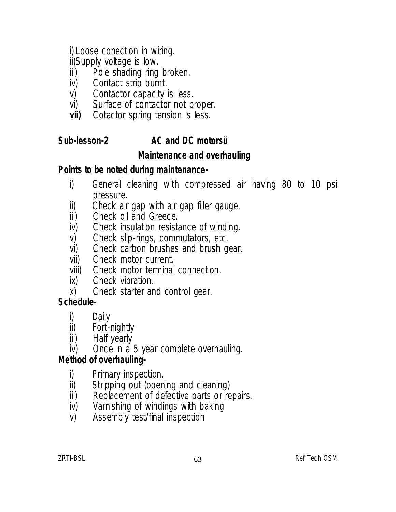i) Loose conection in wiring.

ii)Supply voltage is low.

- iii) Pole shading ring broken.<br>iv) Contact strip burnt.
- iv) Contact strip burnt.<br>v) Contactor capacity
- Contactor capacity is less.
- vi) Surface of contactor not proper.<br> **vii)** Cotactor spring tension is less.
- Cotactor spring tension is less.

# **Sub-lesson-2 AC and DC motorsü**

# **Maintenance and overhauling**

# **Points to be noted during maintenance-**

- i) General cleaning with compressed air having 80 to 10 psi pressure.
- ii) Check air gap with air gap filler gauge.<br>iii) Check oil and Greece.
- Check oil and Greece.
- iv) Check insulation resistance of winding.<br>v) Check slip-rings, commutators, etc.
- v) Check slip-rings, commutators, etc.<br>vi) Check carbon brushes and brush q
- vi) Check carbon brushes and brush gear.<br>vii) Check motor current.
- Check motor current.
- viii) Check motor terminal connection.<br>ix) Check vibration.
- Check vibration.
- x) Check starter and control gear.

# **Schedule-**

- i) Daily<br>ii) Fort-
- Fort-nightly
- iii) Half yearly
- iv) Once in a 5 year complete overhauling.

# **Method of overhauling-**

- i) Primary inspection.<br>ii) Stripping out (open
- ii) Stripping out (opening and cleaning)<br>iii) Replacement of defective parts or re
- iii) Replacement of defective parts or repairs.<br>iv) Varnishing of windings with baking
- Varnishing of windings with baking
- v) Assembly test/final inspection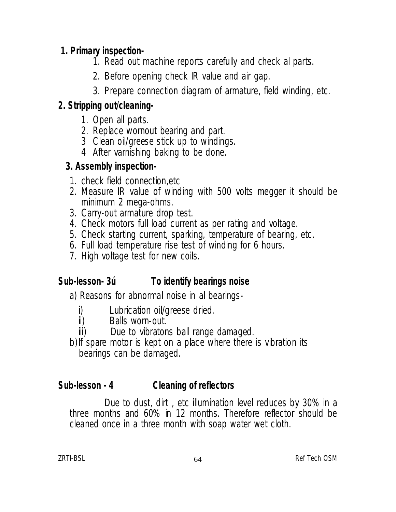# **1. Primary inspection-**

- 1. Read out machine reports carefully and check al parts.
- 2. Before opening check IR value and air gap.
- 3. Prepare connection diagram of armature, field winding, etc.

# **2. Stripping out/cleaning-**

- 1. Open all parts.
- 2. Replace wornout bearing and part.
- 3 Clean oil/greese stick up to windings.
- 4 After varnishing baking to be done.

# **3. Assembly inspection-**

- 1. check field connection,etc
- 2. Measure IR value of winding with 500 volts megger it should be minimum 2 mega-ohms.
- 3. Carry-out armature drop test.
- 4. Check motors full load current as per rating and voltage.
- 5. Check starting current, sparking, temperature of bearing, etc.
- 6. Full load temperature rise test of winding for 6 hours.
- 7. High voltage test for new coils.

# **Sub-lesson- 3ú To identify bearings noise**

a) Reasons for abnormal noise in al bearings-

- i) Lubrication oil/greese dried.<br>ii) Balls worn-out.
- Balls worn-out.
- iii) Due to vibratons ball range damaged.
- b) If spare motor is kept on a place where there is vibration its bearings can be damaged.

# **Sub-lesson - 4 Cleaning of reflectors**

Due to dust, dirt , etc illumination level reduces by 30% in a three months and 60% in 12 months. Therefore reflector should be cleaned once in a three month with soap water wet cloth.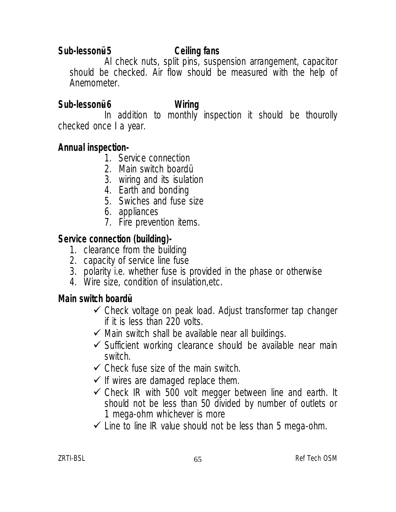## **Sub-lessonü- 5 Ceiling fans**

Al check nuts, split pins, suspension arrangement, capacitor should be checked. Air flow should be measured with the help of Anemometer.

# **Sub-lessonü- 6 Wiring**

In addition to monthly inspection it should be thourolly checked once I a year.

## **Annual inspection-**

- 1. Service connection
- 2. Main switch boardü
- 3. wiring and its isulation
- 4. Earth and bonding
- 5. Swiches and fuse size
- 6. appliances
- 7. Fire prevention items.

## **Service connection (building)-**

- 1. clearance from the building
- 2. capacity of service line fuse
- 3. polarity i.e. whether fuse is provided in the phase or otherwise
- 4. Wire size, condition of insulation,etc.

### **Main switch boardü-**

- $\checkmark$  Check voltage on peak load. Adjust transformer tap changer if it is less than 220 volts.
- $\checkmark$  Main switch shall be available near all buildings.
- $\checkmark$  Sufficient working clearance should be available near main switch.
- $\checkmark$  Check fuse size of the main switch.
- $\checkmark$  If wires are damaged replace them.
- $\checkmark$  Check IR with 500 volt megger between line and earth. It should not be less than 50 divided by number of outlets or 1 mega-ohm whichever is more
- $\checkmark$  Line to line IR value should not be less than 5 mega-ohm.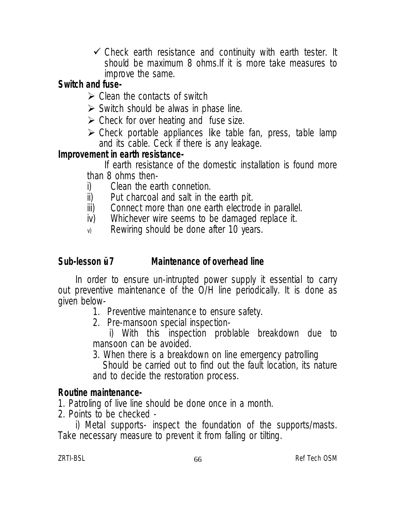$\checkmark$  Check earth resistance and continuity with earth tester. It should be maximum 8 ohms.If it is more take measures to improve the same.

# **Switch and fuse-**

- $\triangleright$  Clean the contacts of switch
- $\triangleright$  Switch should be alwas in phase line.
- $\triangleright$  Check for over heating and fuse size.
- $\triangleright$  Check portable appliances like table fan, press, table lamp and its cable. Ceck if there is any leakage.

# **Improvement in earth resistance-**

If earth resistance of the domestic installation is found more than 8 ohms then-

- i) Clean the earth connetion.
- ii) Put charcoal and salt in the earth pit.
- iii) Connect more than one earth electrode in parallel.<br>iv) Whichever wire seems to be damaged replace it.
- Whichever wire seems to be damaged replace it.
- v) Rewiring should be done after 10 years.

# **Sub-lesson ü- 7 Maintenance of overhead line**

In order to ensure un-intrupted power supply it essential to carry out preventive maintenance of the O/H line periodically. It is done as given below-

- 1. Preventive maintenance to ensure safety.
- 2. Pre-mansoon special inspection-

 i) With this inspection problable breakdown due to mansoon can be avoided.

3. When there is a breakdown on line emergency patrolling Should be carried out to find out the fault location, its nature and to decide the restoration process.

## **Routine maintenance-**

1. Patroling of live line should be done once in a month.

2. Points to be checked -

i) Metal supports- inspect the foundation of the supports/masts. Take necessary measure to prevent it from falling or tilting.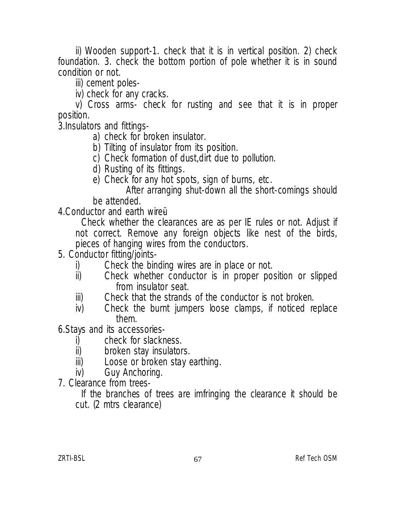ii) Wooden support-1. check that it is in vertical position. 2) check foundation. 3. check the bottom portion of pole whether it is in sound condition or not.

iii) cement poles-

iv) check for any cracks.

v) Cross arms- check for rusting and see that it is in proper position.

3.Insulators and fittings-

- a) check for broken insulator.
- b) Tilting of insulator from its position.
- c) Check formation of dust,dirt due to pollution.
- d) Rusting of its fittings.
- e) Check for any hot spots, sign of burns, etc.

 After arranging shut-down all the short-comings should be attended.

4.Conductor and earth wireü-

Check whether the clearances are as per IE rules or not. Adjust if not correct. Remove any foreign objects like nest of the birds, pieces of hanging wires from the conductors.

- 5. Conductor fitting/joints
	- i) Check the binding wires are in place or not.<br>ii) Check whether conductor is in proper po
	- Check whether conductor is in proper position or slipped from insulator seat.
	- iii) Check that the strands of the conductor is not broken.
	- iv) Check the burnt jumpers loose clamps, if noticed replace them.

6.Stays and its accessories-

- i) check for slackness.<br>ii) broken stav insulator
- ii) broken stay insulators.<br>iii) Loose or broken stav e
- Loose or broken stay earthing.
- iv) Guy Anchoring.
- 7. Clearance from trees-

If the branches of trees are imfringing the clearance it should be cut. (2 mtrs clearance)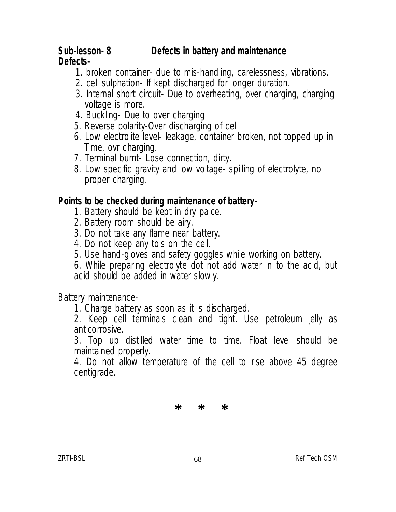### **Sub-lesson- 8 Defects in battery and maintenance Defects-**

- 1. broken container- due to mis-handling, carelessness, vibrations.
- 2. cell sulphation- If kept discharged for longer duration.
- 3. Internal short circuit- Due to overheating, over charging, charging voltage is more.
- 4. Buckling- Due to over charging
- 5. Reverse polarity-Over discharging of cell
- 6. Low electrolite level- leakage, container broken, not topped up in Time, ovr charging.
- 7. Terminal burnt- Lose connection, dirty.
- 8. Low specific gravity and low voltage- spilling of electrolyte, no proper charging.

### **Points to be checked during maintenance of battery-**

- 1. Battery should be kept in dry palce.
- 2. Battery room should be airy.
- 3. Do not take any flame near battery.
- 4. Do not keep any tols on the cell.
- 5. Use hand-gloves and safety goggles while working on battery.

6. While preparing electrolyte dot not add water in to the acid, but acid should be added in water slowly.

Battery maintenance-

1. Charge battery as soon as it is discharged.

2. Keep cell terminals clean and tight. Use petroleum jelly as anticorrosive.

3. Top up distilled water time to time. Float level should be maintained properly.

4. Do not allow temperature of the cell to rise above 45 degree centigrade.

**\* \* \***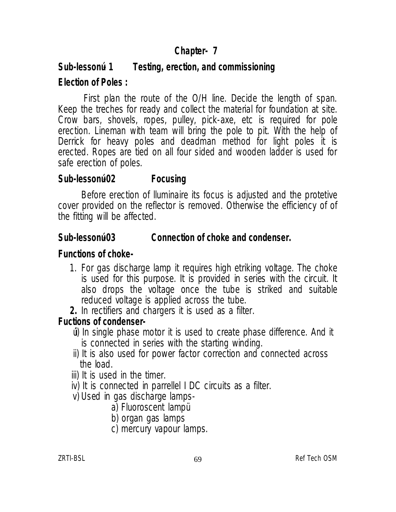# **Chapter- 7**

# **Sub-lessonú- 1 Testing, erection, and commissioning Election of Poles :**

First plan the route of the O/H line. Decide the length of span. Keep the treches for ready and collect the material for foundation at site. Crow bars, shovels, ropes, pulley, pick-axe, etc is required for pole erection. Lineman with team will bring the pole to pit. With the help of Derrick for heavy poles and deadman method for light poles it is erected. Ropes are tied on all four sided and wooden ladder is used for safe erection of poles.

## **Sub-lessonú-02 Focusing**

Before erection of lluminaire its focus is adjusted and the protetive cover provided on the reflector is removed. Otherwise the efficiency of of the fitting will be affected.

# **Sub-lessonú-03 Connection of choke and condenser.**

## **Functions of choke-**

- 1. For gas discharge lamp it requires high etriking voltage. The choke is used for this purpose. It is provided in series with the circuit. It also drops the voltage once the tube is striked and suitable reduced voltage is applied across the tube.
- **2.** In rectifiers and chargers it is used as a filter.

# **Fuctions of condenser-**

- úi) In single phase motor it is used to create phase difference. And it is connected in series with the starting winding.
- ii) It is also used for power factor correction and connected across the load.
- iii) It is used in the timer.
- iv) It is connected in parrellel I DC circuits as a filter.
- v) Used in gas discharge lamps
	- a) Fluoroscent lampü
	- b) organ gas lamps
	- c) mercury vapour lamps.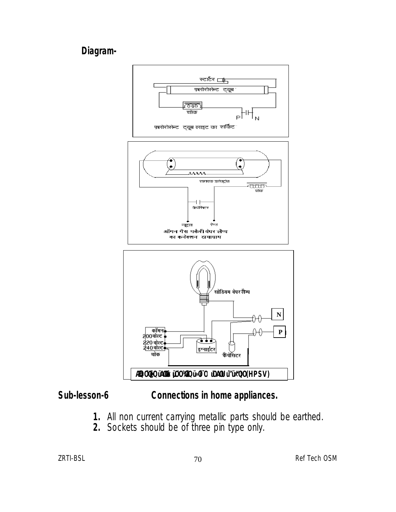# **Diagram-**



# **Sub-lesson-6 Connections in home appliances.**

- **1.** All non current carrying metallic parts should be earthed.
- **2.** Sockets should be of three pin type only.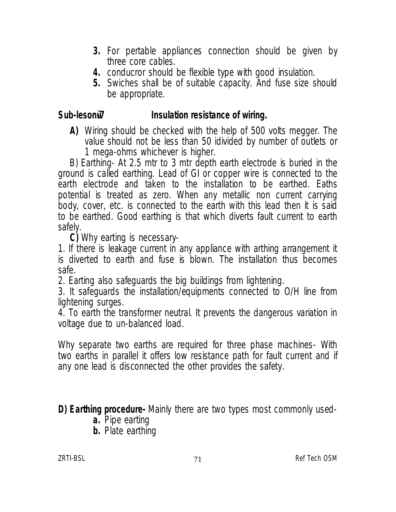- **3.** For pertable appliances connection should be given by three core cables.
- **4.** conducror should be flexible type with good insulation.
- **5.** Swiches shall be of suitable capacity. And fuse size should be appropriate.

#### Sub-lesonü7 **Insulation resistance of wiring.**

**A)** Wiring should be checked with the help of 500 volts megger. The value should not be less than 50 idivided by number of outlets or 1 mega-ohms whichever is higher.

B) Earthing- At 2.5 mtr to 3 mtr depth earth electrode is buried in the ground is called earthing. Lead of GI or copper wire is connected to the earth electrode and taken to the installation to be earthed. Eaths potential is treated as zero. When any metallic non current carrying body, cover, etc. is connected to the earth with this lead then it is said to be earthed. Good earthing is that which diverts fault current to earth safely.

**C)** Why earting is necessary-

1. If there is leakage current in any appliance with arthing arrangement it is diverted to earth and fuse is blown. The installation thus becomes safe.

2. Earting also safeguards the big buildings from lightening.

3. It safeguards the installation/equipments connected to O/H line from lightening surges.

4. To earth the transformer neutral. It prevents the dangerous variation in voltage due to un-balanced load.

Why separate two earths are required for three phase machines- With two earths in parallel it offers low resistance path for fault current and if any one lead is disconnected the other provides the safety.

**D) Earthing procedure-** Mainly there are two types most commonly used-

- **a.** Pipe earting
- **b.** Plate earthing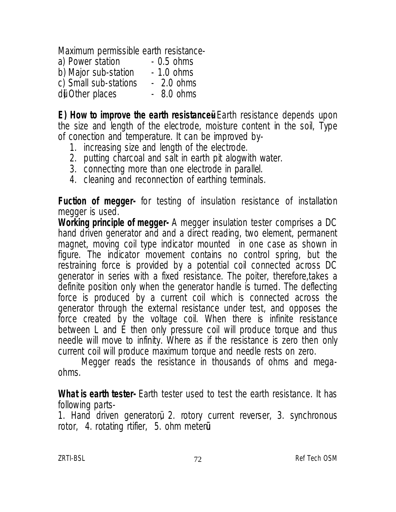Maximum permissible earth resistance-

| a) Power station     | $-0.5$ ohms |
|----------------------|-------------|
| b) Major sub-station | $-1.0$ ohms |

- c) Small sub-stations 2.0 ohms
- d) Other places 8.0 ohms

**E) How to improve the earth resistance Earth resistance depends upon** the size and length of the electrode, moisture content in the soil, Type of conection and temperature. It can be improved by-

- 1. increasing size and length of the electrode.
- 2. putting charcoal and salt in earth pit alogwith water.
- 3. connecting more than one electrode in parallel.
- 4. cleaning and reconnection of earthing terminals.

**Fuction of megger-** for testing of insulation resistance of installation megger is used.

**Working principle of megger-** A megger insulation tester comprises a DC hand driven generator and and a direct reading, two element, permanent magnet, moving coil type indicator mounted in one case as shown in figure. The indicator movement contains no control spring, but the restraining force is provided by a potential coil connected across DC generator in series with a fixed resistance. The poiter, therefore,takes a definite position only when the generator handle is turned. The deflecting force is produced by a current coil which is connected across the generator through the external resistance under test, and opposes the force created by the voltage coil. When there is infinite resistance between L and E then only pressure coil will produce torque and thus needle will move to infinity. Where as if the resistance is zero then only current coil will produce maximum torque and needle rests on zero.

Megger reads the resistance in thousands of ohms and megaohms.

**What is earth tester-** Earth tester used to test the earth resistance. It has following parts-

1. Hand driven generatorü, 2. rotory current reverser, 3. synchronous rotor, 4. rotating rtifier, 5. ohm meterü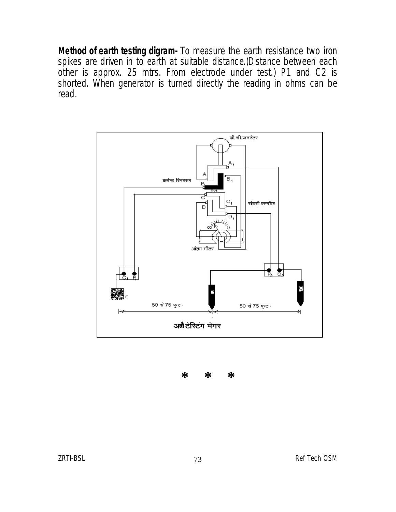**Method of earth testing digram-** To measure the earth resistance two iron spikes are driven in to earth at suitable distance.(Distance between each other is approx. 25 mtrs. From electrode under test.) P1 and C2 is shorted. When generator is turned directly the reading in ohms can be read.



 **\* \* \***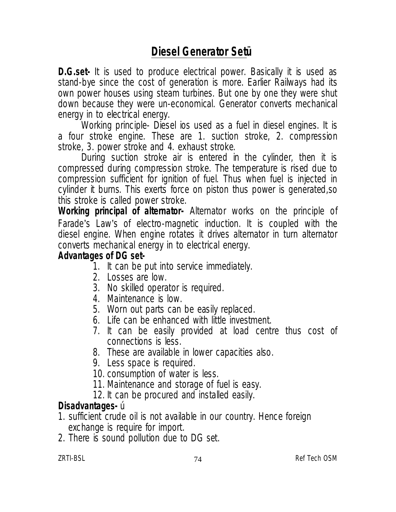# **Diesel Generator Setü**

**D.G.set-** It is used to produce electrical power. Basically it is used as stand-bye since the cost of generation is more. Earlier Railways had its own power houses using steam turbines. But one by one they were shut down because they were un-economical. Generator converts mechanical energy in to electrical energy.

Working principle- Diesel ios used as a fuel in diesel engines. It is a four stroke engine. These are 1. suction stroke, 2. compression stroke, 3. power stroke and 4. exhaust stroke.

During suction stroke air is entered in the cylinder, then it is compressed during compression stroke. The temperature is rised due to compression sufficient for ignition of fuel. Thus when fuel is injected in cylinder it burns. This exerts force on piston thus power is generated,so this stroke is called power stroke.

**Working principal of alternator-** Alternator works on the principle of Farade's Law's of electro-magnetic induction. It is coupled with the diesel engine. When engine rotates it drives alternator in turn alternator converts mechanical energy in to electrical energy.

#### **Advantages of DG set-**

- 1. It can be put into service immediately.
- 2. Losses are low.
- 3. No skilled operator is required.
- 4. Maintenance is low.
- 5. Worn out parts can be easily replaced.
- 6. Life can be enhanced with little investment.
- 7. It can be easily provided at load centre thus cost of connections is less.
- 8. These are available in lower capacities also.
- 9. Less space is required.
- 10. consumption of water is less.
- 11. Maintenance and storage of fuel is easy.
- 12. It can be procured and installed easily.

#### **Disadvantages-** ú

- 1. sufficient crude oil is not available in our country. Hence foreign exchange is require for import.
- 2. There is sound pollution due to DG set.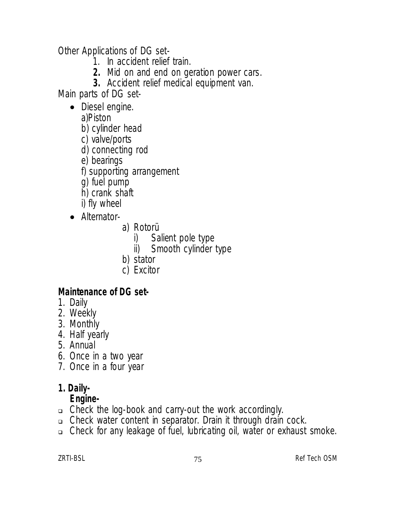Other Applications of DG set-

- 1. In accident relief train.
- **2.** Mid on and end on geration power cars.
- **3.** Accident relief medical equipment van.

Main parts of DG set-

- Diesel engine.
	- a)Piston
	- b) cylinder head
	- c) valve/ports
	- d) connecting rod
	- e) bearings
	- f) supporting arrangement
	- g) fuel pump
	- h) crank shaft
	- i) fly wheel
- Alternator
	- a) Rotorü
		- i) Salient pole type<br>ii) Smooth cylinder
		- Smooth cylinder type
	- b) stator
	- c) Excitor

#### **Maintenance of DG set-**

- 1. Daily
- 2. Weekly
- 3. Monthly
- 4. Half yearly
- 5. Annual
- 6. Once in a two year
- 7. Once in a four year

#### **1. Daily-**

#### **Engine-**

- Check the log-book and carry-out the work accordingly.
- Check water content in separator. Drain it through drain cock.
- Check for any leakage of fuel, lubricating oil, water or exhaust smoke.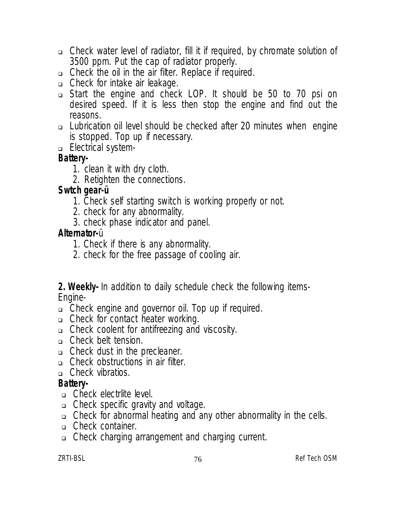- Check water level of radiator, fill it if required, by chromate solution of 3500 ppm. Put the cap of radiator properly.
- Check the oil in the air filter. Replace if required.
- □ Check for intake air leakage.
- Start the engine and check LOP. It should be 50 to 70 psi on desired speed. If it is less then stop the engine and find out the reasons.
- Lubrication oil level should be checked after 20 minutes when engine is stopped. Top up if necessary.
- **Electrical system-**

## **Battery-**

- 1. clean it with dry cloth.
- 2. Retighten the connections.

## **Swtch gear-ü**

- 1. Check self starting switch is working properly or not.
- 2. check for any abnormality.
- 3. check phase indicator and panel.

### **Alternator-**ü

- 1. Check if there is any abnormality.
- 2. check for the free passage of cooling air.

#### **2. Weekly-** In addition to daily schedule check the following items-Engine-

- Check engine and governor oil. Top up if required.
- □ Check for contact heater working.
- Check coolent for antifreezing and viscosity.
- Check belt tension.
- Check dust in the precleaner.
- Check obstructions in air filter.
- □ Check vibratios.

## **Battery-**

- Check electrlite level.
- Check specific gravity and voltage.
- Check for abnormal heating and any other abnormality in the cells.
- Check container.
- Check charging arrangement and charging current.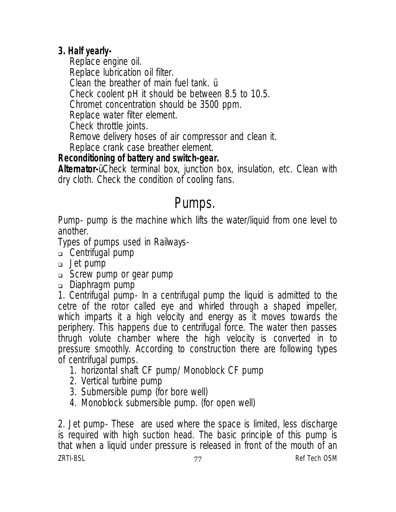## **3. Half yearly-**

Replace engine oil. Replace lubrication oil filter. Clean the breather of main fuel tank. ü Check coolent pH it should be between 8.5 to 10.5. Chromet concentration should be 3500 ppm. Replace water filter element. Check throttle joints. Remove delivery hoses of air compressor and clean it. Replace crank case breather element.

#### **Reconditioning of battery and switch-gear.**

**Alternator-**ü Check terminal box, junction box, insulation, etc. Clean with dry cloth. Check the condition of cooling fans.

# Pumps.

Pump- pump is the machine which lifts the water/liquid from one level to another.

Types of pumps used in Railways-

- Centrifugal pump
- Jet pump
- Screw pump or gear pump
- Diaphragm pump

1. Centrifugal pump- In a centrifugal pump the liquid is admitted to the cetre of the rotor called eye and whirled through a shaped impeller, which imparts it a high velocity and energy as it moves towards the periphery. This happens due to centrifugal force. The water then passes thrugh volute chamber where the high velocity is converted in to pressure smoothly. According to construction there are following types of centrifugal pumps.

- 1. horizontal shaft CF pump/ Monoblock CF pump
- 2. Vertical turbine pump
- 3. Submersible pump (for bore well)
- 4. Monoblock submersible pump. (for open well)

ZRTI-BSL and the contract of the contract of the contract of the contract of the contract of the contract of the contract of the contract of the contract of the contract of the contract of the contract of the contract of t 2. Jet pump- These are used where the space is limited, less discharge is required with high suction head. The basic principle of this pump is that when a liquid under pressure is released in front of the mouth of an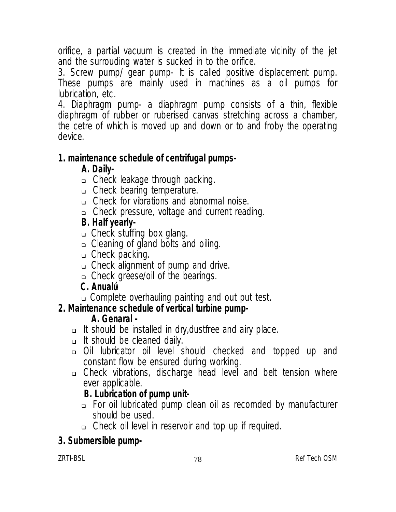orifice, a partial vacuum is created in the immediate vicinity of the jet and the surrouding water is sucked in to the orifice.

3. Screw pump/ gear pump- It is called positive displacement pump. These pumps are mainly used in machines as a oil pumps for lubrication, etc.

4. Diaphragm pump- a diaphragm pump consists of a thin, flexible diaphragm of rubber or ruberised canvas stretching across a chamber, the cetre of which is moved up and down or to and froby the operating device.

#### **1. maintenance schedule of centrifugal pumps-**

## **A. Daily-**

- Check leakage through packing.
- Check bearing temperature.
- Check for vibrations and abnormal noise.
- Check pressure, voltage and current reading.

## **B. Half yearly-**

- □ Check stuffing box glang.
- □ Cleaning of gland bolts and oiling.
- $\Box$  Check packing.
- Check alignment of pump and drive.
- Check greese/oil of the bearings.

## **C. Anualú-**

Complete overhauling painting and out put test.

## **2. Maintenance schedule of vertical turbine pump-**

## **A. Genaral -**

- $\Box$  It should be installed in dry, dustifree and airy place.
- It should be cleaned daily.
- Oil lubricator oil level should checked and topped up and constant flow be ensured during working.
- Check vibrations, discharge head level and belt tension where ever applicable.

## **B. Lubrication of pump unit-**

- For oil lubricated pump clean oil as recomded by manufacturer should be used.
- Check oil level in reservoir and top up if required.

## **3. Submersible pump-**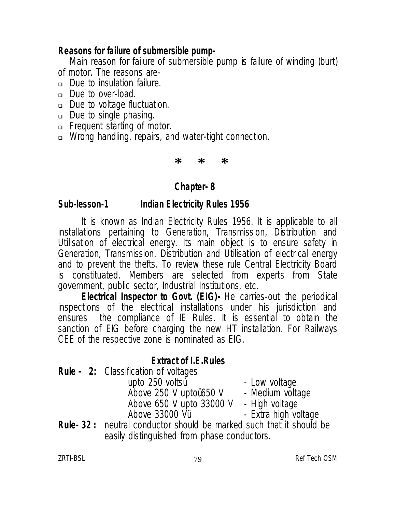#### **Reasons for failure of submersible pump-**

Main reason for failure of submersible pump is failure of winding (burt) of motor. The reasons are-

- Due to insulation failure.
- □ Due to over-load.
- Due to voltage fluctuation.
- Due to single phasing.
- **Example 1** Frequent starting of motor.
- □ Wrong handling, repairs, and water-tight connection.

**\* \* \***

#### **Chapter- 8**

#### **Sub-lesson-1 Indian Electricity Rules 1956**

It is known as Indian Electricity Rules 1956. It is applicable to all installations pertaining to Generation, Transmission, Distribution and Utilisation of electrical energy. Its main object is to ensure safety in Generation, Transmission, Distribution and Utilisation of electrical energy and to prevent the thefts. To review these rule Central Electricity Board is constituated. Members are selected from experts from State government, public sector, Industrial Institutions, etc.

**Electrical Inspector to Govt. (EIG)-** He carries-out the periodical inspections of the electrical installations under his jurisdiction and ensures the compliance of IE Rules. It is essential to obtain the sanction of EIG before charging the new HT installation. For Railways CEE of the respective zone is nominated as EIG.

#### **Extract of I.E.Rules**

**Rule - 2:** Classification of voltages

upto 250 voltsú Low voltage<br>Above 250 V uptoü650 V Medium voltage Above 250 V uptoü650 V - Medium volta<br>Above 650 V upto 33000 V - High voltage Above 650 V upto 33000 V<br>Above 33000 Vii

- 
- 
- 

- Extra high voltage

**Rule- 32 :** neutral conductor should be marked such that it should be easily distinguished from phase conductors.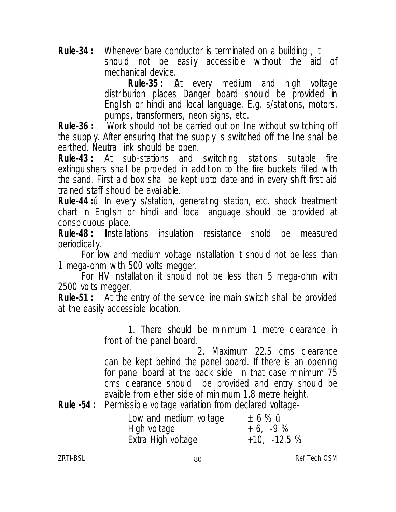**Rule-34 :** Whenever bare conductor is terminated on a building , it should not be easily accessible without the aid of mechanical device.<br>**Rule-35:** *i* 

**At** every medium and high voltage distriburion places Danger board should be provided in English or hindi and local language. E.g. s/stations, motors, pumps, transformers, neon signs, etc.

**Rule-36 :** Work should not be carried out on line without switching off the supply. After ensuring that the supply is switched off the line shall be earthed. Neutral link should be open.

**Rule-43 :** At sub-stations and switching stations suitable fire extinguishers shall be provided in addition to the fire buckets filled with the sand. First aid box shall be kept upto date and in every shift first aid trained staff should be available.

**Rule-44 :**ú In every s/station, generating station, etc. shock treatment chart in English or hindi and local language should be provided at conspicuous place.

**Rule-48 : I**nstallations insulation resistance shold be measured periodically.

For low and medium voltage installation it should not be less than 1 mega-ohm with 500 volts megger.

For HV installation it should not be less than 5 mega-ohm with 2500 volts megger.

**Rule-51 :** At the entry of the service line main switch shall be provided at the easily accessible location.

> 1. There should be minimum 1 metre clearance in front of the panel board.

> 2. Maximum 22.5 cms clearance can be kept behind the panel board. If there is an opening for panel board at the back side in that case minimum 75 cms clearance should be provided and entry should be avaible from either side of minimum 1.8 metre height.

**Rule -54 :** Permissible voltage variation from declared voltage-

| Low and medium voltage | $\pm 6 \%$ ü   |
|------------------------|----------------|
| High voltage           | $+6, -9\%$     |
| Extra High voltage     | $+10, -12.5\%$ |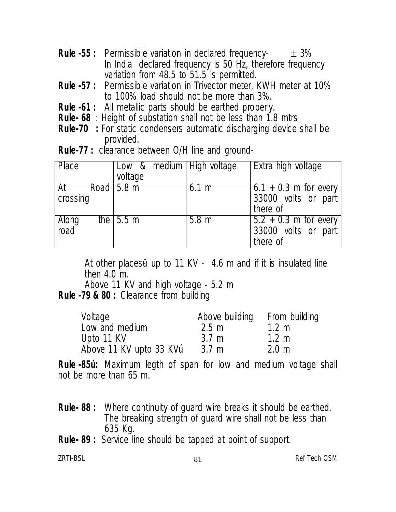- **Rule -55 :** Permissible variation in declared frequency-  $\pm$  3% In India declared frequency is 50 Hz, therefore frequency variation from 48.5 to 51.5 is permitted.
- **Rule -57 :** Permissible variation in Trivector meter, KWH meter at 10% to 100% load should not be more than 3%.
- **Rule -61 :** All metallic parts should be earthed properly.
- **Rule- 68** : Height of substation shall not be less than 1.8 mtrs
- **Rule-70 :** For static condensers automatic discharging device shall be provided.
- **Rule-77 :** clearance between O/H line and ground-

| <b>Place</b>   | Low & medium   High voltage<br>voltage |                  | Extra high voltage                                         |
|----------------|----------------------------------------|------------------|------------------------------------------------------------|
| At<br>crossing | Road $ 5.8 \text{ m} $                 | 6.1 m            | $6.1 + 0.3$ m for every<br>33000 volts or part<br>there of |
| Along<br>road  | the $\sqrt{5.5 \text{ m}}$             | 5.8 <sub>m</sub> | $5.2 + 0.3$ m for every<br>33000 volts or part<br>there of |

At other places up to 11 KV - 4.6 m and if it is insulated line then 4.0 m.

Above 11 KV and high voltage - 5.2 m

## **Rule -79 & 80 :** Clearance from building

| Voltage                 | Above building  | From building   |
|-------------------------|-----------------|-----------------|
| Low and medium          | $2.5 \text{ m}$ | $1.2 \text{ m}$ |
| Upto 11 KV              | $3.7 \text{ m}$ | $1.2 \text{ m}$ |
| Above 11 KV upto 33 KVu | $3.7 \text{ m}$ | $2.0 \text{ m}$ |

**Rule -85ú :** Maximum legth of span for low and medium voltage shall not be more than 65 m.

- **Rule- 88 :** Where continuity of guard wire breaks it should be earthed. The breaking strength of guard wire shall not be less than 635 Kg.
- **Rule- 89 :** Service line should be tapped at point of support.